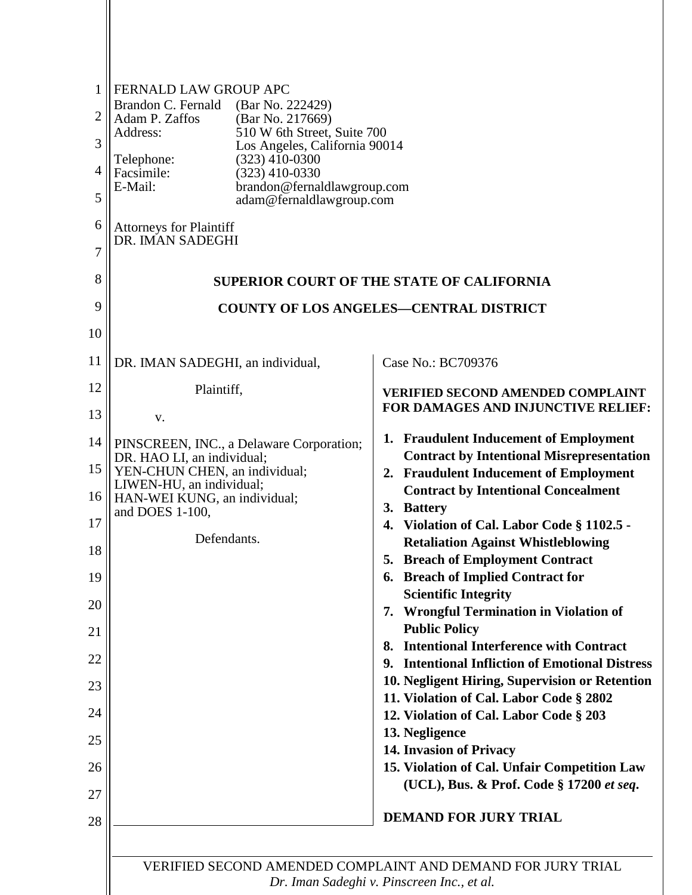| 1<br>$\overline{2}$<br>3<br>4<br>5 | FERNALD LAW GROUP APC<br>Brandon C. Fernald (Bar No. 222429)<br>Adam P. Zaffos<br>(Bar No. 217669)<br>510 W 6th Street, Suite 700<br>Address:<br>Los Angeles, California 90014<br>$(323)$ 410-0300<br>Telephone:<br>Facsimile:<br>$(323)$ 410-0330<br>E-Mail:<br>brandon@fernaldlawgroup.com<br>adam@fernaldlawgroup.com |                                                                                                           |
|------------------------------------|--------------------------------------------------------------------------------------------------------------------------------------------------------------------------------------------------------------------------------------------------------------------------------------------------------------------------|-----------------------------------------------------------------------------------------------------------|
| 6<br>7                             | <b>Attorneys for Plaintiff</b><br>DR. IMAN SADEGHI                                                                                                                                                                                                                                                                       |                                                                                                           |
| 8                                  |                                                                                                                                                                                                                                                                                                                          | <b>SUPERIOR COURT OF THE STATE OF CALIFORNIA</b>                                                          |
| 9                                  |                                                                                                                                                                                                                                                                                                                          | <b>COUNTY OF LOS ANGELES-CENTRAL DISTRICT</b>                                                             |
| 10                                 |                                                                                                                                                                                                                                                                                                                          |                                                                                                           |
| 11                                 | DR. IMAN SADEGHI, an individual,                                                                                                                                                                                                                                                                                         | Case No.: BC709376                                                                                        |
| 12<br>13                           | Plaintiff,                                                                                                                                                                                                                                                                                                               | <b>VERIFIED SECOND AMENDED COMPLAINT</b><br>FOR DAMAGES AND INJUNCTIVE RELIEF:                            |
| 14                                 | V.<br>PINSCREEN, INC., a Delaware Corporation;                                                                                                                                                                                                                                                                           | 1. Fraudulent Inducement of Employment                                                                    |
| 15                                 | DR. HAO LI, an individual;<br>YEN-CHUN CHEN, an individual;<br>LIWEN-HU, an individual;                                                                                                                                                                                                                                  | <b>Contract by Intentional Misrepresentation</b><br>2. Fraudulent Inducement of Employment                |
| 16                                 | HAN-WEI KUNG, an individual;<br>and DOES 1-100,                                                                                                                                                                                                                                                                          | <b>Contract by Intentional Concealment</b><br>3. Battery                                                  |
| 17                                 | Defendants.                                                                                                                                                                                                                                                                                                              | Violation of Cal. Labor Code § 1102.5 -<br>4.<br><b>Retaliation Against Whistleblowing</b>                |
| 18<br>19                           |                                                                                                                                                                                                                                                                                                                          | 5. Breach of Employment Contract<br>6. Breach of Implied Contract for                                     |
| 20                                 |                                                                                                                                                                                                                                                                                                                          | <b>Scientific Integrity</b><br><b>Wrongful Termination in Violation of</b><br>7.                          |
| 21                                 |                                                                                                                                                                                                                                                                                                                          | <b>Public Policy</b>                                                                                      |
| 22                                 |                                                                                                                                                                                                                                                                                                                          | 8. Intentional Interference with Contract<br>9. Intentional Infliction of Emotional Distress              |
| 23                                 |                                                                                                                                                                                                                                                                                                                          | 10. Negligent Hiring, Supervision or Retention<br>11. Violation of Cal. Labor Code § 2802                 |
| 24                                 |                                                                                                                                                                                                                                                                                                                          | 12. Violation of Cal. Labor Code § 203                                                                    |
| 25                                 |                                                                                                                                                                                                                                                                                                                          | 13. Negligence<br>14. Invasion of Privacy                                                                 |
| 26<br>27                           |                                                                                                                                                                                                                                                                                                                          | 15. Violation of Cal. Unfair Competition Law<br>(UCL), Bus. & Prof. Code § 17200 et seq.                  |
| 28                                 |                                                                                                                                                                                                                                                                                                                          | <b>DEMAND FOR JURY TRIAL</b>                                                                              |
|                                    |                                                                                                                                                                                                                                                                                                                          | VERIFIED SECOND AMENDED COMPLAINT AND DEMAND FOR JURY TRIAL<br>Dr. Iman Sadeghi v. Pinscreen Inc., et al. |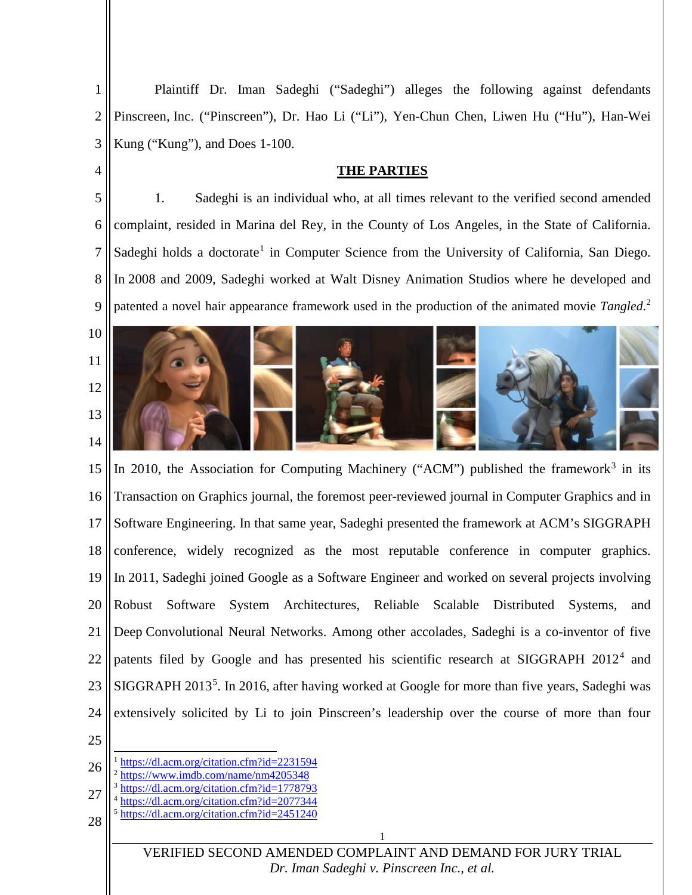1 2 3 Plaintiff Dr. Iman Sadeghi ("Sadeghi") alleges the following against defendants Pinscreen, Inc. ("Pinscreen"), Dr. Hao Li ("Li"), Yen-Chun Chen, Liwen Hu ("Hu"), Han-Wei Kung ("Kung"), and Does 1-100.

#### **THE PARTIES**

5 6 7 8 9 1. Sadeghi is an individual who, at all times relevant to the verified second amended complaint, resided in Marina del Rey, in the County of Los Angeles, in the State of California. Sadeghi holds a doctorate<sup>[1](#page-1-0)</sup> in Computer Science from the University of California, San Diego. In 2008 and 2009, Sadeghi worked at Walt Disney Animation Studios where he developed and patented a novel hair appearance framework used in the production of the animated movie *Tangled*. [2](#page-1-1)



15 16 17 18 19 20 21 22 23 24 In 2010, the Association for Computing Machinery ("ACM") published the framework<sup>[3](#page-1-2)</sup> in its Transaction on Graphics journal, the foremost peer-reviewed journal in Computer Graphics and in Software Engineering. In that same year, Sadeghi presented the framework at ACM's SIGGRAPH conference, widely recognized as the most reputable conference in computer graphics. In 2011, Sadeghi joined Google as a Software Engineer and worked on several projects involving Robust Software System Architectures, Reliable Scalable Distributed Systems, and Deep Convolutional Neural Networks. Among other accolades, Sadeghi is a co-inventor of five patents filed by Google and has presented his scientific research at SIGGRAPH 2012<sup>[4](#page-1-3)</sup> and SIGGRAPH 2013<sup>[5](#page-1-4)</sup>. In 2016, after having worked at Google for more than five years, Sadeghi was extensively solicited by Li to join Pinscreen's leadership over the course of more than four

25

4

- <span id="page-1-1"></span><span id="page-1-0"></span>26 1 <https://dl.acm.org/citation.cfm?id=2231594> <sup>2</sup> [https://www.imdb.com/name/nm4205348](https://www.imdb.com/name/nm4205348/)
- <span id="page-1-3"></span><span id="page-1-2"></span>27 <https://dl.acm.org/citation.cfm?id=1778793>
	- <sup>4</sup> <https://dl.acm.org/citation.cfm?id=2077344>
- <span id="page-1-4"></span>28 <sup>5</sup> <https://dl.acm.org/citation.cfm?id=2451240>

VERIFIED SECOND AMENDED COMPLAINT AND DEMAND FOR JURY TRIAL *[Dr. Iman Sadeghi v. Pinscreen Inc., et al.](http://sadeghi.com/dr-iman-sadeghi-v-pinscreen-inc-et-al)*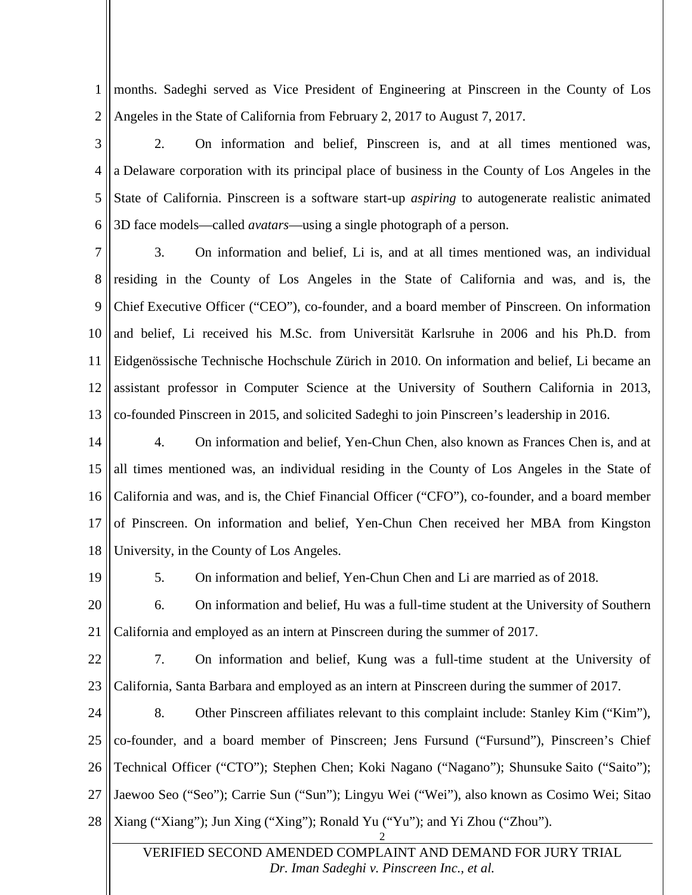1 2 months. Sadeghi served as Vice President of Engineering at Pinscreen in the County of Los Angeles in the State of California from February 2, 2017 to August 7, 2017.

3 4 5 6 2. On information and belief, Pinscreen is, and at all times mentioned was, a Delaware corporation with its principal place of business in the County of Los Angeles in the State of California. Pinscreen is a software start-up *aspiring* to autogenerate realistic animated 3D face models—called *avatars*—using a single photograph of a person.

7 8 9 10 11 12 13 3. On information and belief, Li is, and at all times mentioned was, an individual residing in the County of Los Angeles in the State of California and was, and is, the Chief Executive Officer ("CEO"), co-founder, and a board member of Pinscreen. On information and belief, Li received his M.Sc. from Universität Karlsruhe in 2006 and his Ph.D. from Eidgenössische Technische Hochschule Zürich in 2010. On information and belief, Li became an assistant professor in Computer Science at the University of Southern California in 2013, co-founded Pinscreen in 2015, and solicited Sadeghi to join Pinscreen's leadership in 2016.

14 15 16 17 18 4. On information and belief, Yen-Chun Chen, also known as Frances Chen is, and at all times mentioned was, an individual residing in the County of Los Angeles in the State of California and was, and is, the Chief Financial Officer ("CFO"), co-founder, and a board member of Pinscreen. On information and belief, Yen-Chun Chen received her MBA from Kingston University, in the County of Los Angeles.

19

5. On information and belief, Yen-Chun Chen and Li are married as of 2018.

20 21 6. On information and belief, Hu was a full-time student at the University of Southern California and employed as an intern at Pinscreen during the summer of 2017.

22 23 7. On information and belief, Kung was a full-time student at the University of California, Santa Barbara and employed as an intern at Pinscreen during the summer of 2017.

24 25 26 27 28 8. Other Pinscreen affiliates relevant to this complaint include: Stanley Kim ("Kim"), co-founder, and a board member of Pinscreen; Jens Fursund ("Fursund"), Pinscreen's Chief Technical Officer ("CTO"); Stephen Chen; Koki Nagano ("Nagano"); Shunsuke Saito ("Saito"); Jaewoo Seo ("Seo"); Carrie Sun ("Sun"); Lingyu Wei ("Wei"), also known as Cosimo Wei; Sitao Xiang ("Xiang"); Jun Xing ("Xing"); Ronald Yu ("Yu"); and Yi Zhou ("Zhou").

VERIFIED SECOND AMENDED COMPLAINT AND DEMAND FOR JURY TRIAL *[Dr. Iman Sadeghi v. Pinscreen Inc., et al.](http://sadeghi.com/dr-iman-sadeghi-v-pinscreen-inc-et-al)*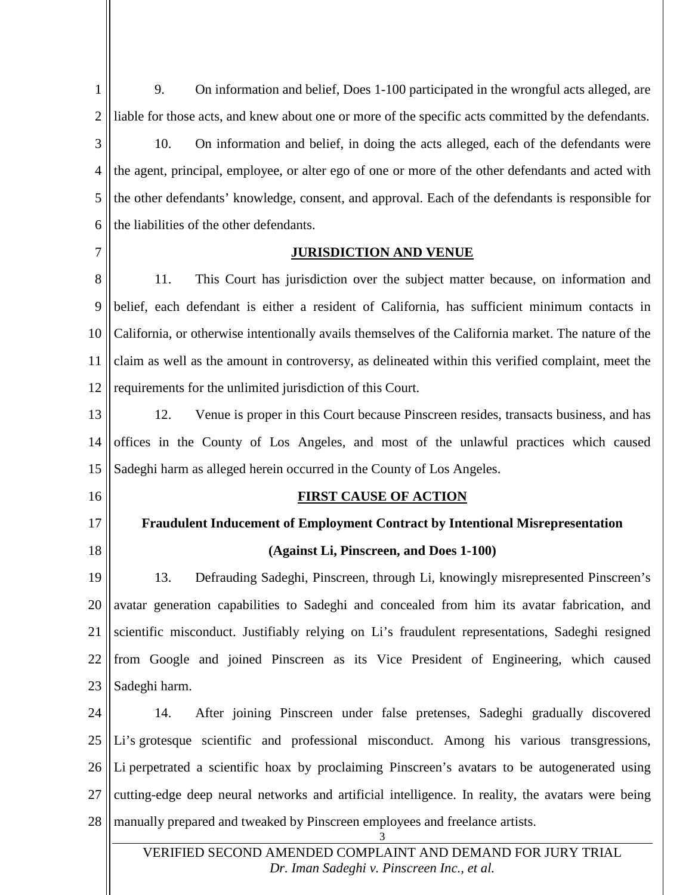1 2 9. On information and belief, Does 1-100 participated in the wrongful acts alleged, are liable for those acts, and knew about one or more of the specific acts committed by the defendants.

3 4 5 6 10. On information and belief, in doing the acts alleged, each of the defendants were the agent, principal, employee, or alter ego of one or more of the other defendants and acted with the other defendants' knowledge, consent, and approval. Each of the defendants is responsible for the liabilities of the other defendants.

7

#### **JURISDICTION AND VENUE**

8 9 10 11 12 11. This Court has jurisdiction over the subject matter because, on information and belief, each defendant is either a resident of California, has sufficient minimum contacts in California, or otherwise intentionally avails themselves of the California market. The nature of the claim as well as the amount in controversy, as delineated within this verified complaint, meet the requirements for the unlimited jurisdiction of this Court.

13 14 15 12. Venue is proper in this Court because Pinscreen resides, transacts business, and has offices in the County of Los Angeles, and most of the unlawful practices which caused Sadeghi harm as alleged herein occurred in the County of Los Angeles.

16

<span id="page-3-0"></span>17

18

## **Fraudulent Inducement of Employment Contract by Intentional Misrepresentation**

**FIRST CAUSE OF ACTION**

**(Against Li, Pinscreen, and Does 1-100)**

19 20 21 22 23 13. Defrauding Sadeghi, Pinscreen, through Li, knowingly misrepresented Pinscreen's avatar generation capabilities to Sadeghi and concealed from him its avatar fabrication, and scientific misconduct. Justifiably relying on Li's fraudulent representations, Sadeghi resigned from Google and joined Pinscreen as its Vice President of Engineering, which caused Sadeghi harm.

24 25 26 27 28 14. After joining Pinscreen under false pretenses, Sadeghi gradually discovered Li's grotesque scientific and professional misconduct. Among his various transgressions, Li perpetrated a scientific hoax by proclaiming Pinscreen's avatars to be autogenerated using cutting-edge deep neural networks and artificial intelligence. In reality, the avatars were being manually prepared and tweaked by Pinscreen employees and freelance artists.

VERIFIED SECOND AMENDED COMPLAINT AND DEMAND FOR JURY TRIAL *[Dr. Iman Sadeghi v. Pinscreen Inc., et al.](http://sadeghi.com/dr-iman-sadeghi-v-pinscreen-inc-et-al)*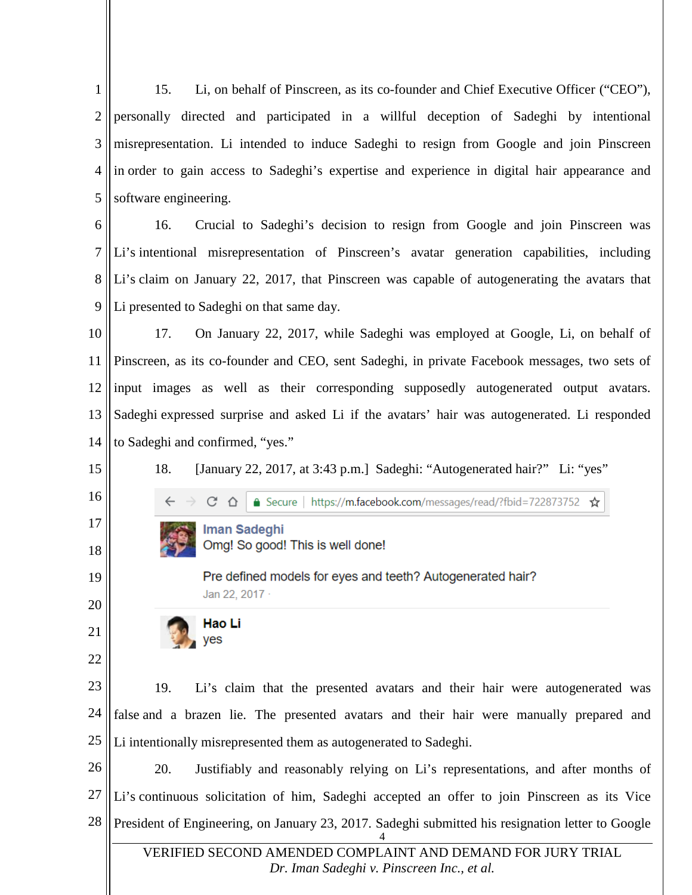1 2 3 4 5 15. Li, on behalf of Pinscreen, as its co-founder and Chief Executive Officer ("CEO"), personally directed and participated in a willful deception of Sadeghi by intentional misrepresentation. Li intended to induce Sadeghi to resign from Google and join Pinscreen in order to gain access to Sadeghi's expertise and experience in digital hair appearance and software engineering.

6 7 8 9 16. Crucial to Sadeghi's decision to resign from Google and join Pinscreen was Li's intentional misrepresentation of Pinscreen's avatar generation capabilities, including Li's claim on January 22, 2017, that Pinscreen was capable of autogenerating the avatars that Li presented to Sadeghi on that same day.

10 11 12 13 14 17. On January 22, 2017, while Sadeghi was employed at Google, Li, on behalf of Pinscreen, as its co-founder and CEO, sent Sadeghi, in private Facebook messages, two sets of input images as well as their corresponding supposedly autogenerated output avatars. Sadeghi expressed surprise and asked Li if the avatars' hair was autogenerated. Li responded to Sadeghi and confirmed, "yes."

18. [January 22, 2017, at 3:43 p.m.] Sadeghi: "Autogenerated hair?" Li: "yes"

- △ Secure | https://m.facebook.com/messages/read/?fbid=722873752  $C \cap \Delta$ ☆
- **Iman Sadeghi** Omg! So good! This is well done!

Pre defined models for eyes and teeth? Autogenerated hair? Jan 22, 2017 ·

Hao Li yes

 $\leftarrow$ 

15

16

17

18

19

20

21

22

23 24 25 19. Li's claim that the presented avatars and their hair were autogenerated was false and a brazen lie. The presented avatars and their hair were manually prepared and Li intentionally misrepresented them as autogenerated to Sadeghi.

26 27 28 4 20. Justifiably and reasonably relying on Li's representations, and after months of Li's continuous solicitation of him, Sadeghi accepted an offer to join Pinscreen as its Vice President of Engineering, on January 23, 2017. Sadeghi submitted his resignation letter to Google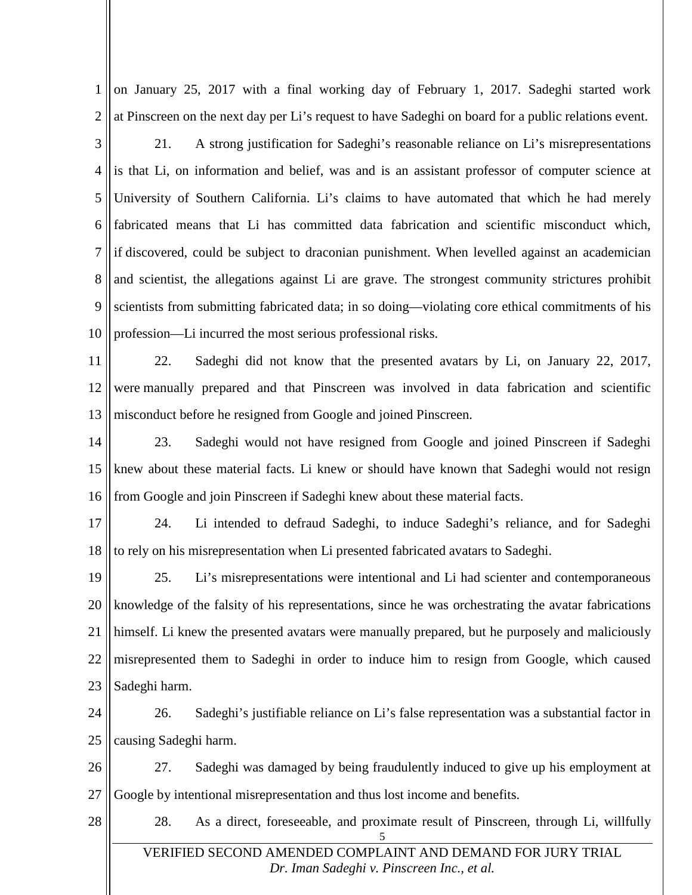1 2 on January 25, 2017 with a final working day of February 1, 2017. Sadeghi started work at Pinscreen on the next day per Li's request to have Sadeghi on board for a public relations event.

3 4 5 6 7 8 9 10 21. A strong justification for Sadeghi's reasonable reliance on Li's misrepresentations is that Li, on information and belief, was and is an assistant professor of computer science at University of Southern California. Li's claims to have automated that which he had merely fabricated means that Li has committed data fabrication and scientific misconduct which, if discovered, could be subject to draconian punishment. When levelled against an academician and scientist, the allegations against Li are grave. The strongest community strictures prohibit scientists from submitting fabricated data; in so doing—violating core ethical commitments of his profession—Li incurred the most serious professional risks.

11 12 13 22. Sadeghi did not know that the presented avatars by Li, on January 22, 2017, were manually prepared and that Pinscreen was involved in data fabrication and scientific misconduct before he resigned from Google and joined Pinscreen.

14 15 16 23. Sadeghi would not have resigned from Google and joined Pinscreen if Sadeghi knew about these material facts. Li knew or should have known that Sadeghi would not resign from Google and join Pinscreen if Sadeghi knew about these material facts.

17 18 24. Li intended to defraud Sadeghi, to induce Sadeghi's reliance, and for Sadeghi to rely on his misrepresentation when Li presented fabricated avatars to Sadeghi.

19 20 21 22 23 25. Li's misrepresentations were intentional and Li had scienter and contemporaneous knowledge of the falsity of his representations, since he was orchestrating the avatar fabrications himself. Li knew the presented avatars were manually prepared, but he purposely and maliciously misrepresented them to Sadeghi in order to induce him to resign from Google, which caused Sadeghi harm.

24 25 26. Sadeghi's justifiable reliance on Li's false representation was a substantial factor in causing Sadeghi harm.

26 27 27. Sadeghi was damaged by being fraudulently induced to give up his employment at Google by intentional misrepresentation and thus lost income and benefits.

28

28. As a direct, foreseeable, and proximate result of Pinscreen, through Li, willfully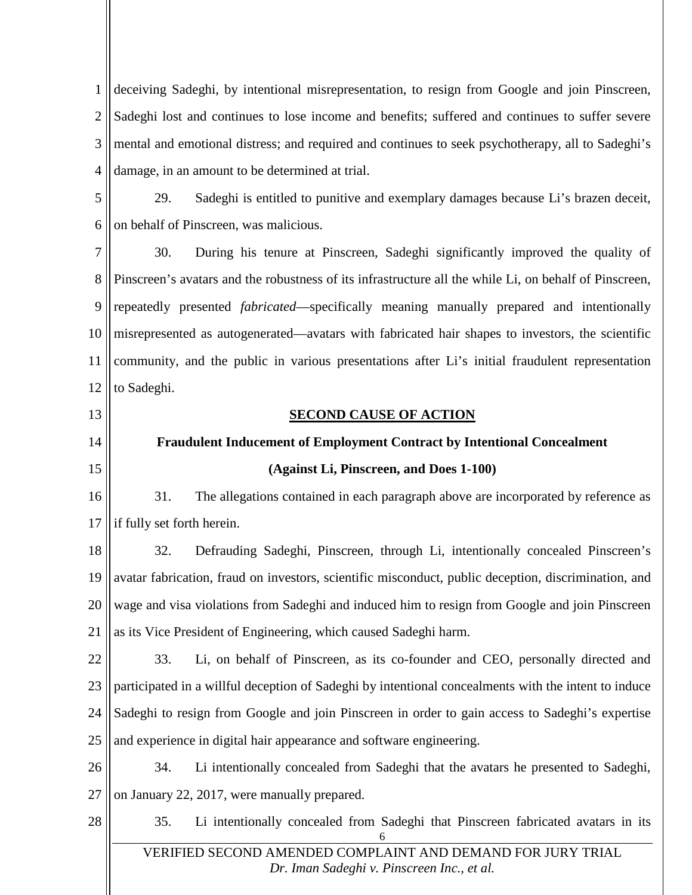1 2 3 4 deceiving Sadeghi, by intentional misrepresentation, to resign from Google and join Pinscreen, Sadeghi lost and continues to lose income and benefits; suffered and continues to suffer severe mental and emotional distress; and required and continues to seek psychotherapy, all to Sadeghi's damage, in an amount to be determined at trial.

5 6 29. Sadeghi is entitled to punitive and exemplary damages because Li's brazen deceit, on behalf of Pinscreen, was malicious.

7 8 9 10 11 12 30. During his tenure at Pinscreen, Sadeghi significantly improved the quality of Pinscreen's avatars and the robustness of its infrastructure all the while Li, on behalf of Pinscreen, repeatedly presented *fabricated*—specifically meaning manually prepared and intentionally misrepresented as autogenerated—avatars with fabricated hair shapes to investors, the scientific community, and the public in various presentations after Li's initial fraudulent representation to Sadeghi.

13

<span id="page-6-0"></span>14 15

#### **SECOND CAUSE OF ACTION**

# **Fraudulent Inducement of Employment Contract by Intentional Concealment (Against Li, Pinscreen, and Does 1-100)**

16 17 31. The allegations contained in each paragraph above are incorporated by reference as if fully set forth herein.

18 19 20 21 32. Defrauding Sadeghi, Pinscreen, through Li, intentionally concealed Pinscreen's avatar fabrication, fraud on investors, scientific misconduct, public deception, discrimination, and wage and visa violations from Sadeghi and induced him to resign from Google and join Pinscreen as its Vice President of Engineering, which caused Sadeghi harm.

22 23 24 25 33. Li, on behalf of Pinscreen, as its co-founder and CEO, personally directed and participated in a willful deception of Sadeghi by intentional concealments with the intent to induce Sadeghi to resign from Google and join Pinscreen in order to gain access to Sadeghi's expertise and experience in digital hair appearance and software engineering.

26 27 34. Li intentionally concealed from Sadeghi that the avatars he presented to Sadeghi, on January 22, 2017, were manually prepared.

- 28
- 6 35. Li intentionally concealed from Sadeghi that Pinscreen fabricated avatars in its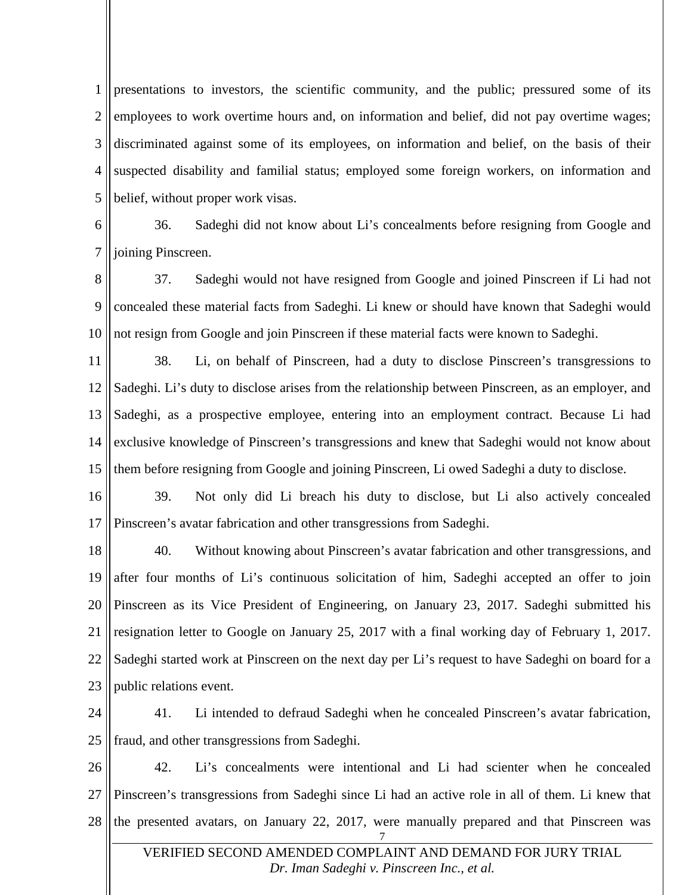1 2 3 4 5 presentations to investors, the scientific community, and the public; pressured some of its employees to work overtime hours and, on information and belief, did not pay overtime wages; discriminated against some of its employees, on information and belief, on the basis of their suspected disability and familial status; employed some foreign workers, on information and belief, without proper work visas.

6 7 36. Sadeghi did not know about Li's concealments before resigning from Google and joining Pinscreen.

8 9 10 37. Sadeghi would not have resigned from Google and joined Pinscreen if Li had not concealed these material facts from Sadeghi. Li knew or should have known that Sadeghi would not resign from Google and join Pinscreen if these material facts were known to Sadeghi.

11 12 13 14 15 38. Li, on behalf of Pinscreen, had a duty to disclose Pinscreen's transgressions to Sadeghi. Li's duty to disclose arises from the relationship between Pinscreen, as an employer, and Sadeghi, as a prospective employee, entering into an employment contract. Because Li had exclusive knowledge of Pinscreen's transgressions and knew that Sadeghi would not know about them before resigning from Google and joining Pinscreen, Li owed Sadeghi a duty to disclose.

16 17 39. Not only did Li breach his duty to disclose, but Li also actively concealed Pinscreen's avatar fabrication and other transgressions from Sadeghi.

18 19 20 21 22 23 40. Without knowing about Pinscreen's avatar fabrication and other transgressions, and after four months of Li's continuous solicitation of him, Sadeghi accepted an offer to join Pinscreen as its Vice President of Engineering, on January 23, 2017. Sadeghi submitted his resignation letter to Google on January 25, 2017 with a final working day of February 1, 2017. Sadeghi started work at Pinscreen on the next day per Li's request to have Sadeghi on board for a public relations event.

24 25 41. Li intended to defraud Sadeghi when he concealed Pinscreen's avatar fabrication, fraud, and other transgressions from Sadeghi.

26 27 28 42. Li's concealments were intentional and Li had scienter when he concealed Pinscreen's transgressions from Sadeghi since Li had an active role in all of them. Li knew that the presented avatars, on January 22, 2017, were manually prepared and that Pinscreen was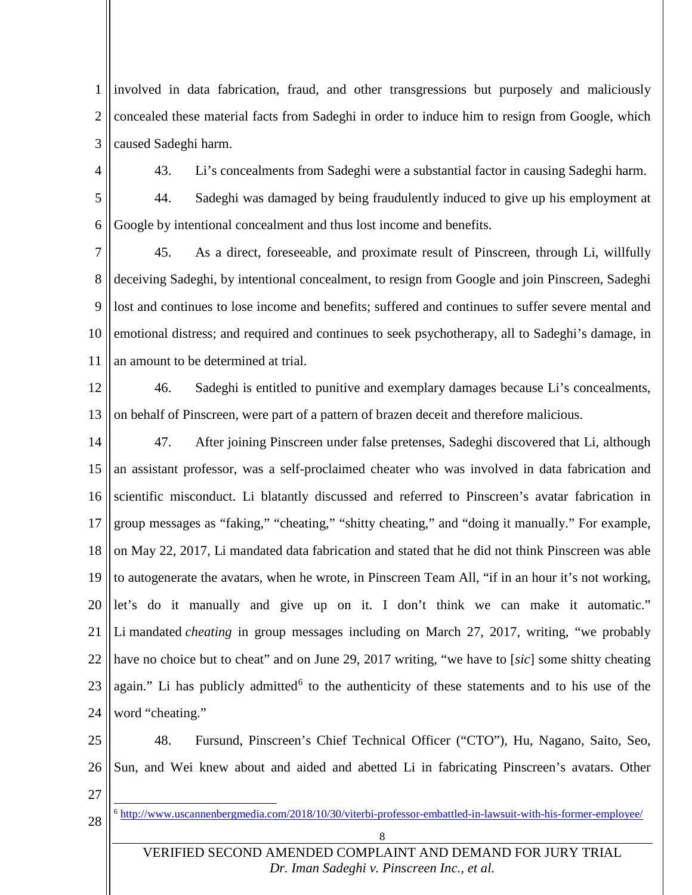1 2 3 involved in data fabrication, fraud, and other transgressions but purposely and maliciously concealed these material facts from Sadeghi in order to induce him to resign from Google, which caused Sadeghi harm.

4

43. Li's concealments from Sadeghi were a substantial factor in causing Sadeghi harm.

5 6 44. Sadeghi was damaged by being fraudulently induced to give up his employment at Google by intentional concealment and thus lost income and benefits.

7 8 9 10 11 45. As a direct, foreseeable, and proximate result of Pinscreen, through Li, willfully deceiving Sadeghi, by intentional concealment, to resign from Google and join Pinscreen, Sadeghi lost and continues to lose income and benefits; suffered and continues to suffer severe mental and emotional distress; and required and continues to seek psychotherapy, all to Sadeghi's damage, in an amount to be determined at trial.

12 13 46. Sadeghi is entitled to punitive and exemplary damages because Li's concealments, on behalf of Pinscreen, were part of a pattern of brazen deceit and therefore malicious.

14 15 16 17 18 19 20 21 22 23 24 47. After joining Pinscreen under false pretenses, Sadeghi discovered that Li, although an assistant professor, was a self-proclaimed cheater who was involved in data fabrication and scientific misconduct. Li blatantly discussed and referred to Pinscreen's avatar fabrication in group messages as "faking," "cheating," "shitty cheating," and "doing it manually." For example, on May 22, 2017, Li mandated data fabrication and stated that he did not think Pinscreen was able to autogenerate the avatars, when he wrote, in Pinscreen Team All, "if in an hour it's not working, let's do it manually and give up on it. I don't think we can make it automatic." Li mandated *cheating* in group messages including on March 27, 2017, writing, "we probably have no choice but to cheat" and on June 29, 2017 writing, "we have to [*sic*] some shitty cheating again." Li has publicly admitted<sup>[6](#page-8-0)</sup> to the authenticity of these statements and to his use of the word "cheating."

25 26 48. Fursund, Pinscreen's Chief Technical Officer ("CTO"), Hu, Nagano, Saito, Seo, Sun, and Wei knew about and aided and abetted Li in fabricating Pinscreen's avatars. Other

27

<span id="page-8-0"></span>28

6 <http://www.uscannenbergmedia.com/2018/10/30/viterbi-professor-embattled-in-lawsuit-with-his-former-employee/>

8

VERIFIED SECOND AMENDED COMPLAINT AND DEMAND FOR JURY TRIAL *[Dr. Iman Sadeghi v. Pinscreen Inc., et al.](http://sadeghi.com/dr-iman-sadeghi-v-pinscreen-inc-et-al)*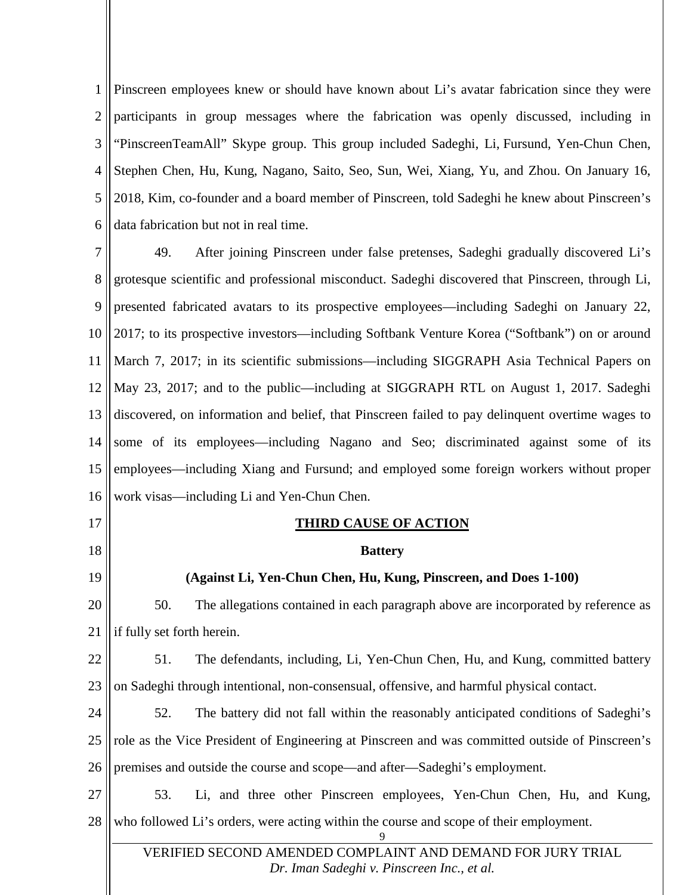1 2 3 4 5 6 Pinscreen employees knew or should have known about Li's avatar fabrication since they were participants in group messages where the fabrication was openly discussed, including in "PinscreenTeamAll" Skype group. This group included Sadeghi, Li, Fursund, Yen-Chun Chen, Stephen Chen, Hu, Kung, Nagano, Saito, Seo, Sun, Wei, Xiang, Yu, and Zhou. On January 16, 2018, Kim, co-founder and a board member of Pinscreen, told Sadeghi he knew about Pinscreen's data fabrication but not in real time.

7 8 9 10 11 12 13 14 15 16 17 49. After joining Pinscreen under false pretenses, Sadeghi gradually discovered Li's grotesque scientific and professional misconduct. Sadeghi discovered that Pinscreen, through Li, presented fabricated avatars to its prospective employees—including Sadeghi on January 22, 2017; to its prospective investors—including Softbank Venture Korea ("Softbank") on or around March 7, 2017; in its scientific submissions—including SIGGRAPH Asia Technical Papers on May 23, 2017; and to the public—including at SIGGRAPH RTL on August 1, 2017. Sadeghi discovered, on information and belief, that Pinscreen failed to pay delinquent overtime wages to some of its employees—including Nagano and Seo; discriminated against some of its employees—including Xiang and Fursund; and employed some foreign workers without proper work visas—including Li and Yen-Chun Chen. **THIRD CAUSE OF ACTION**

18 19 20 21 22 23 24 25 26 27 28 **Battery (Against Li, Yen-Chun Chen, Hu, Kung, Pinscreen, and Does 1-100)** 50. The allegations contained in each paragraph above are incorporated by reference as if fully set forth herein. 51. The defendants, including, Li, Yen-Chun Chen, Hu, and Kung, committed battery on Sadeghi through intentional, non-consensual, offensive, and harmful physical contact. 52. The battery did not fall within the reasonably anticipated conditions of Sadeghi's role as the Vice President of Engineering at Pinscreen and was committed outside of Pinscreen's premises and outside the course and scope—and after—Sadeghi's employment. 53. Li, and three other Pinscreen employees, Yen-Chun Chen, Hu, and Kung, who followed Li's orders, were acting within the course and scope of their employment.

VERIFIED SECOND AMENDED COMPLAINT AND DEMAND FOR JURY TRIAL *[Dr. Iman Sadeghi v. Pinscreen Inc., et al.](http://sadeghi.com/dr-iman-sadeghi-v-pinscreen-inc-et-al)*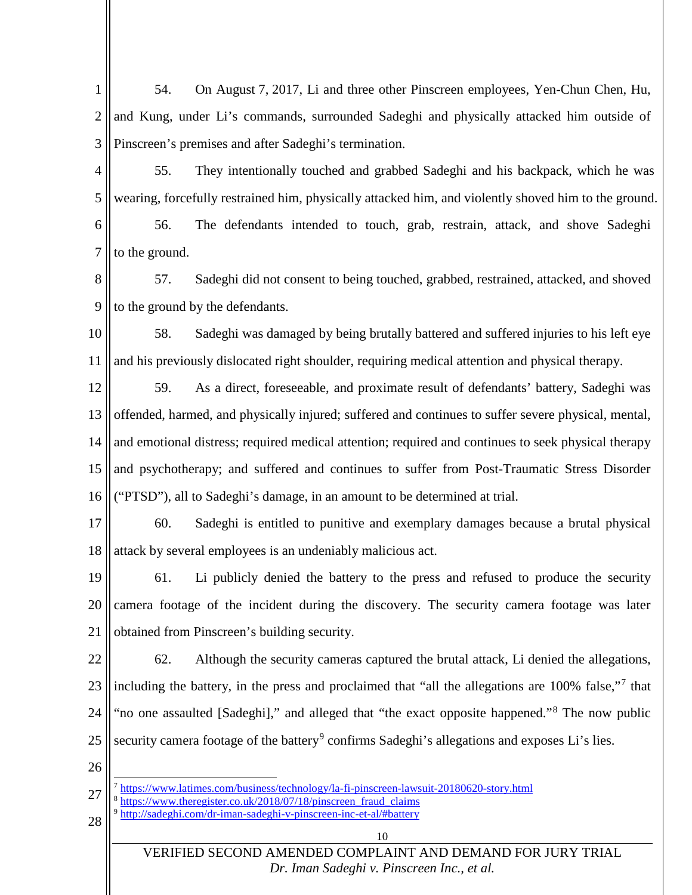1 2 3 54. On August 7, 2017, Li and three other Pinscreen employees, Yen-Chun Chen, Hu, and Kung, under Li's commands, surrounded Sadeghi and physically attacked him outside of Pinscreen's premises and after Sadeghi's termination.

4 5 6 7 55. They intentionally touched and grabbed Sadeghi and his backpack, which he was . wearing, forcefully restrained him, physically attacked him, and violently shoved him to the ground. 56. The defendants intended to touch, grab, restrain, attack, and shove Sadeghi to the ground.

8 9 57. Sadeghi did not consent to being touched, grabbed, restrained, attacked, and shoved to the ground by the defendants.

10 11 58. Sadeghi was damaged by being brutally battered and suffered injuries to his left eye and his previously dislocated right shoulder, requiring medical attention and physical therapy.

12 13 14 15 16 59. As a direct, foreseeable, and proximate result of defendants' battery, Sadeghi was offended, harmed, and physically injured; suffered and continues to suffer severe physical, mental, and emotional distress; required medical attention; required and continues to seek physical therapy and psychotherapy; and suffered and continues to suffer from Post-Traumatic Stress Disorder ("PTSD"), all to Sadeghi's damage, in an amount to be determined at trial.

17 18 60. Sadeghi is entitled to punitive and exemplary damages because a brutal physical attack by several employees is an undeniably malicious act.

19 20 21 61. Li publicly denied the battery to the press and refused to produce the security camera footage of the incident during the discovery. The security camera footage was later obtained from Pinscreen's building security.

22 23 24 25 62. Although the security cameras captured the brutal attack, Li denied the allegations, including the battery, in the press and proclaimed that "all the allegations are 100% false,"[7](#page-10-0) that "no one assaulted [Sadeghi]," and alleged that "the exact opposite happened."<sup>[8](#page-10-1)</sup> The now public security camera footage of the battery<sup>[9](#page-10-2)</sup> confirms Sadeghi's allegations and exposes Li's lies.

26

- <span id="page-10-1"></span><span id="page-10-0"></span>27 7 <https://www.latimes.com/business/technology/la-fi-pinscreen-lawsuit-20180620-story.html>
	- <sup>8</sup> [https://www.theregister.co.uk/2018/07/18/pinscreen\\_fraud\\_claims](https://www.theregister.co.uk/2018/07/18/pinscreen_fraud_claims/) <http://sadeghi.com/dr-iman-sadeghi-v-pinscreen-inc-et-al/#battery>
- <span id="page-10-2"></span>28

10

VERIFIED SECOND AMENDED COMPLAINT AND DEMAND FOR JURY TRIAL *[Dr. Iman Sadeghi v. Pinscreen Inc., et al.](http://sadeghi.com/dr-iman-sadeghi-v-pinscreen-inc-et-al)*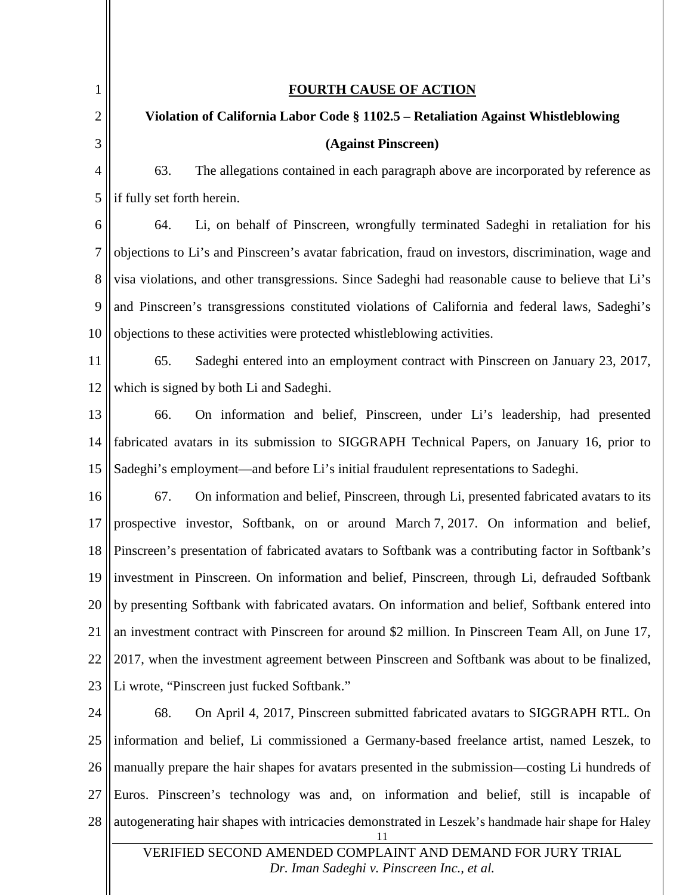<span id="page-11-0"></span>

| 1              | <b>FOURTH CAUSE OF ACTION</b>                                                                             |  |
|----------------|-----------------------------------------------------------------------------------------------------------|--|
| $\overline{2}$ | Violation of California Labor Code § 1102.5 - Retaliation Against Whistleblowing                          |  |
| 3              | (Against Pinscreen)                                                                                       |  |
| $\overline{4}$ | 63.<br>The allegations contained in each paragraph above are incorporated by reference as                 |  |
| 5              | if fully set forth herein.                                                                                |  |
| 6              | Li, on behalf of Pinscreen, wrongfully terminated Sadeghi in retaliation for his<br>64.                   |  |
| $\overline{7}$ | objections to Li's and Pinscreen's avatar fabrication, fraud on investors, discrimination, wage and       |  |
| 8              | visa violations, and other transgressions. Since Sadeghi had reasonable cause to believe that Li's        |  |
| 9              | and Pinscreen's transgressions constituted violations of California and federal laws, Sadeghi's           |  |
| 10             | objections to these activities were protected whistleblowing activities.                                  |  |
| 11             | Sadeghi entered into an employment contract with Pinscreen on January 23, 2017,<br>65.                    |  |
| 12             | which is signed by both Li and Sadeghi.                                                                   |  |
| 13             | On information and belief, Pinscreen, under Li's leadership, had presented<br>66.                         |  |
| 14             | fabricated avatars in its submission to SIGGRAPH Technical Papers, on January 16, prior to                |  |
| 15             | Sadeghi's employment—and before Li's initial fraudulent representations to Sadeghi.                       |  |
| 16             | 67.<br>On information and belief, Pinscreen, through Li, presented fabricated avatars to its              |  |
| 17             | prospective investor, Softbank, on or around March 7, 2017. On information and belief,                    |  |
| 18             | Pinscreen's presentation of fabricated avatars to Softbank was a contributing factor in Softbank's        |  |
| 19             | investment in Pinscreen. On information and belief, Pinscreen, through Li, defrauded Softbank             |  |
| 20             | by presenting Softbank with fabricated avatars. On information and belief, Softbank entered into          |  |
| 21             | an investment contract with Pinscreen for around \$2 million. In Pinscreen Team All, on June 17,          |  |
| 22             | 2017, when the investment agreement between Pinscreen and Softbank was about to be finalized,             |  |
| 23             | Li wrote, "Pinscreen just fucked Softbank."                                                               |  |
| 24             | On April 4, 2017, Pinscreen submitted fabricated avatars to SIGGRAPH RTL. On<br>68.                       |  |
| 25             | information and belief, Li commissioned a Germany-based freelance artist, named Leszek, to                |  |
| 26             | manually prepare the hair shapes for avatars presented in the submission—costing Li hundreds of           |  |
| 27             | Euros. Pinscreen's technology was and, on information and belief, still is incapable of                   |  |
| 28             | autogenerating hair shapes with intricacies demonstrated in Leszek's handmade hair shape for Haley<br>11  |  |
|                | VERIFIED SECOND AMENDED COMPLAINT AND DEMAND FOR JURY TRIAL<br>Dr. Iman Sadeghi v. Pinscreen Inc., et al. |  |

 $\mathsf{I}$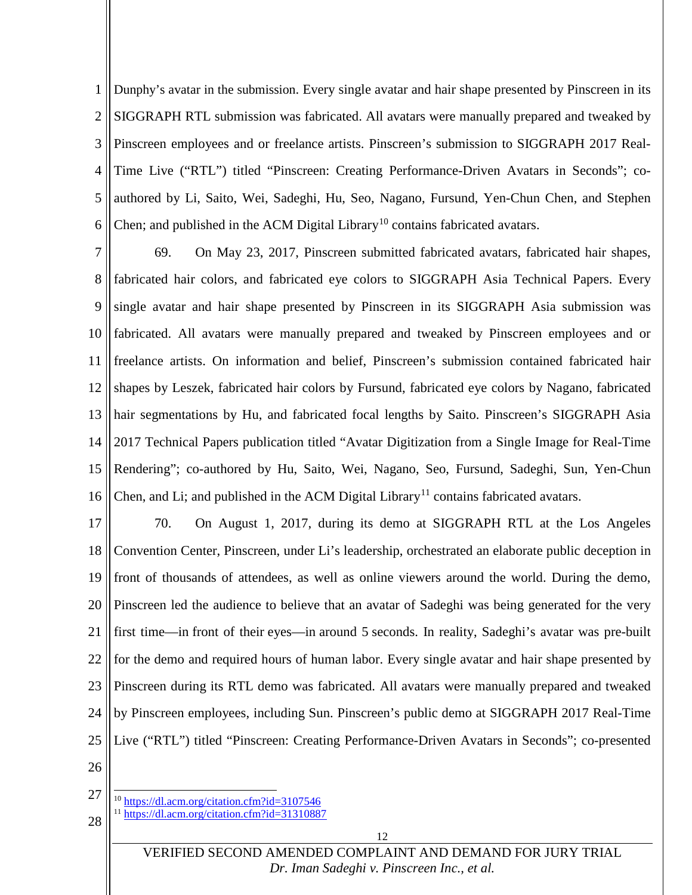1 2 3 4 5 6 Dunphy's avatar in the submission. Every single avatar and hair shape presented by Pinscreen in its SIGGRAPH RTL submission was fabricated. All avatars were manually prepared and tweaked by Pinscreen employees and or freelance artists. Pinscreen's submission to SIGGRAPH 2017 Real-Time Live ("RTL") titled "Pinscreen: Creating Performance-Driven Avatars in Seconds"; coauthored by Li, Saito, Wei, Sadeghi, Hu, Seo, Nagano, Fursund, Yen-Chun Chen, and Stephen Chen; and published in the ACM Digital Library<sup>[10](#page-12-0)</sup> contains fabricated avatars.

7 8 9 10 11 12 13 14 15 16 69. On May 23, 2017, Pinscreen submitted fabricated avatars, fabricated hair shapes, fabricated hair colors, and fabricated eye colors to SIGGRAPH Asia Technical Papers. Every single avatar and hair shape presented by Pinscreen in its SIGGRAPH Asia submission was fabricated. All avatars were manually prepared and tweaked by Pinscreen employees and or freelance artists. On information and belief, Pinscreen's submission contained fabricated hair shapes by Leszek, fabricated hair colors by Fursund, fabricated eye colors by Nagano, fabricated hair segmentations by Hu, and fabricated focal lengths by Saito. Pinscreen's SIGGRAPH Asia 2017 Technical Papers publication titled "Avatar Digitization from a Single Image for Real-Time Rendering"; co-authored by Hu, Saito, Wei, Nagano, Seo, Fursund, Sadeghi, Sun, Yen-Chun Chen, and Li; and published in the ACM Digital Library<sup>[11](#page-12-1)</sup> contains fabricated avatars.

17 18 19 20 21 22 23 24 25 70. On August 1, 2017, during its demo at SIGGRAPH RTL at the Los Angeles Convention Center, Pinscreen, under Li's leadership, orchestrated an elaborate public deception in front of thousands of attendees, as well as online viewers around the world. During the demo, Pinscreen led the audience to believe that an avatar of Sadeghi was being generated for the very first time—in front of their eyes—in around 5 seconds. In reality, Sadeghi's avatar was pre-built for the demo and required hours of human labor. Every single avatar and hair shape presented by Pinscreen during its RTL demo was fabricated. All avatars were manually prepared and tweaked by Pinscreen employees, including Sun. Pinscreen's public demo at SIGGRAPH 2017 Real-Time Live ("RTL") titled "Pinscreen: Creating Performance-Driven Avatars in Seconds"; co-presented

<span id="page-12-1"></span><span id="page-12-0"></span><sup>27</sup> 28 <sup>10</sup> <https://dl.acm.org/citation.cfm?id=3107546> <sup>11</sup> <https://dl.acm.org/citation.cfm?id=31310887>

VERIFIED SECOND AMENDED COMPLAINT AND DEMAND FOR JURY TRIAL *[Dr. Iman Sadeghi v. Pinscreen Inc., et al.](http://sadeghi.com/dr-iman-sadeghi-v-pinscreen-inc-et-al)*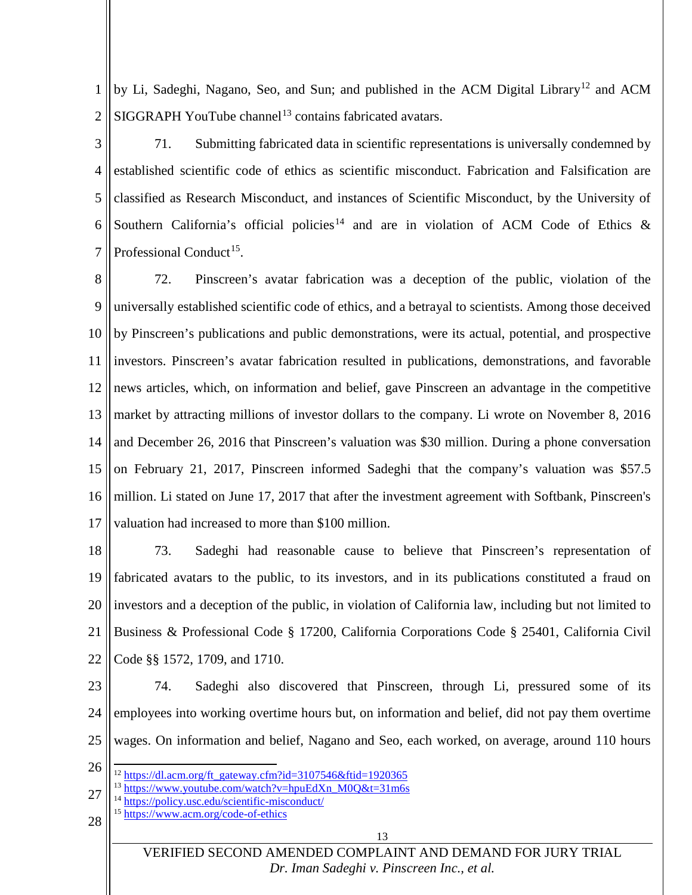1 2 by Li, Sadeghi, Nagano, Seo, and Sun; and published in the ACM Digital Library<sup>[12](#page-13-0)</sup> and ACM  $SIGGRAPH$  YouTube channel<sup>[13](#page-13-1)</sup> contains fabricated avatars.

3 4 5 6 7 71. Submitting fabricated data in scientific representations is universally condemned by established scientific code of ethics as scientific misconduct. Fabrication and Falsification are classified as Research Misconduct, and instances of Scientific Misconduct, by the University of Southern California's official policies<sup>[14](#page-13-2)</sup> and are in violation of ACM Code of Ethics & Professional Conduct<sup>15</sup>.

8 9 10 11 12 13 14 15 16 17 72. Pinscreen's avatar fabrication was a deception of the public, violation of the universally established scientific code of ethics, and a betrayal to scientists. Among those deceived by Pinscreen's publications and public demonstrations, were its actual, potential, and prospective investors. Pinscreen's avatar fabrication resulted in publications, demonstrations, and favorable news articles, which, on information and belief, gave Pinscreen an advantage in the competitive market by attracting millions of investor dollars to the company. Li wrote on November 8, 2016 and December 26, 2016 that Pinscreen's valuation was \$30 million. During a phone conversation on February 21, 2017, Pinscreen informed Sadeghi that the company's valuation was \$57.5 million. Li stated on June 17, 2017 that after the investment agreement with Softbank, Pinscreen's valuation had increased to more than \$100 million.

18 19 20 21 22 73. Sadeghi had reasonable cause to believe that Pinscreen's representation of fabricated avatars to the public, to its investors, and in its publications constituted a fraud on investors and a deception of the public, in violation of California law, including but not limited to Business & Professional Code § 17200, California Corporations Code § 25401, California Civil Code §§ 1572, 1709, and 1710.

23 24 25 74. Sadeghi also discovered that Pinscreen, through Li, pressured some of its employees into working overtime hours but, on information and belief, did not pay them overtime wages. On information and belief, Nagano and Seo, each worked, on average, around 110 hours

- <span id="page-13-2"></span><span id="page-13-1"></span>27 <sup>13</sup> [https://www.youtube.com/watch?v=hpuEdXn\\_M0Q&t=31m6s](https://www.youtube.com/watch?v=hpuEdXn_M0Q&t=31m6s)
	- <sup>14</sup> <https://policy.usc.edu/scientific-misconduct/>
	- <sup>15</sup> <https://www.acm.org/code-of-ethics>

#### <span id="page-13-3"></span>28

13

VERIFIED SECOND AMENDED COMPLAINT AND DEMAND FOR JURY TRIAL *[Dr. Iman Sadeghi v. Pinscreen Inc., et al.](http://sadeghi.com/dr-iman-sadeghi-v-pinscreen-inc-et-al)*

<span id="page-13-0"></span><sup>26</sup> <sup>12</sup> [https://dl.acm.org/ft\\_gateway.cfm?id=3107546&ftid=1920365](https://dl.acm.org/ft_gateway.cfm?id=3107546&ftid=1920365)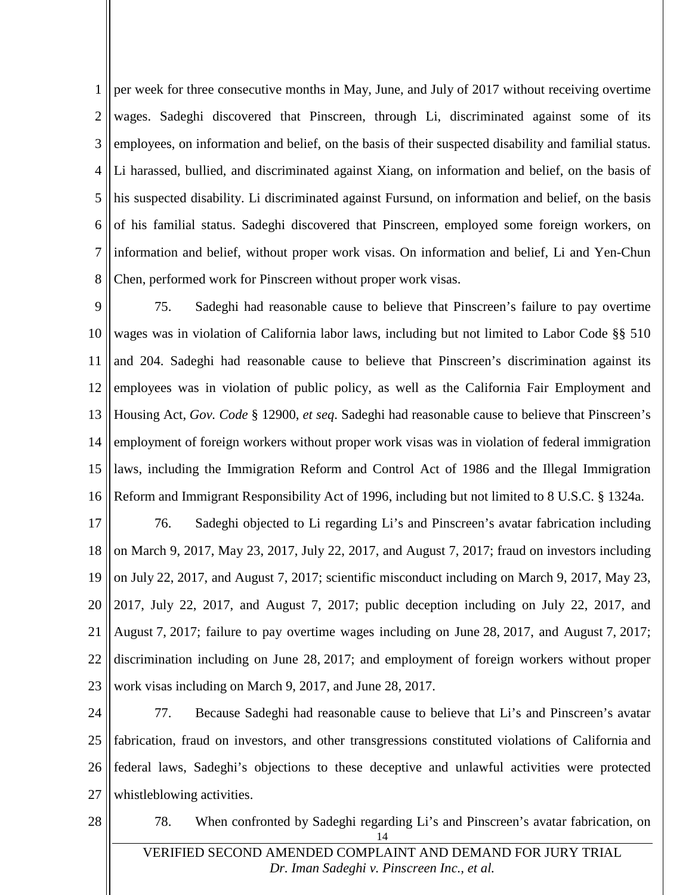1 2 3 4 5 6 7 8 per week for three consecutive months in May, June, and July of 2017 without receiving overtime wages. Sadeghi discovered that Pinscreen, through Li, discriminated against some of its employees, on information and belief, on the basis of their suspected disability and familial status. Li harassed, bullied, and discriminated against Xiang, on information and belief, on the basis of his suspected disability. Li discriminated against Fursund, on information and belief, on the basis of his familial status. Sadeghi discovered that Pinscreen, employed some foreign workers, on information and belief, without proper work visas. On information and belief, Li and Yen-Chun Chen, performed work for Pinscreen without proper work visas.

9 10 11 12 13 14 15 16 75. Sadeghi had reasonable cause to believe that Pinscreen's failure to pay overtime wages was in violation of California labor laws, including but not limited to Labor Code §§ 510 and 204. Sadeghi had reasonable cause to believe that Pinscreen's discrimination against its employees was in violation of public policy, as well as the California Fair Employment and Housing Act, *Gov. Code* § 12900, *et seq*. Sadeghi had reasonable cause to believe that Pinscreen's employment of foreign workers without proper work visas was in violation of federal immigration laws, including the Immigration Reform and Control Act of 1986 and the Illegal Immigration Reform and Immigrant Responsibility Act of 1996, including but not limited to 8 U.S.C. § 1324a.

17 18 19 20 21 22 23 76. Sadeghi objected to Li regarding Li's and Pinscreen's avatar fabrication including on March 9, 2017, May 23, 2017, July 22, 2017, and August 7, 2017; fraud on investors including on July 22, 2017, and August 7, 2017; scientific misconduct including on March 9, 2017, May 23, 2017, July 22, 2017, and August 7, 2017; public deception including on July 22, 2017, and August 7, 2017; failure to pay overtime wages including on June 28, 2017, and August 7, 2017; discrimination including on June 28, 2017; and employment of foreign workers without proper work visas including on March 9, 2017, and June 28, 2017.

24 25 26 27 77. Because Sadeghi had reasonable cause to believe that Li's and Pinscreen's avatar fabrication, fraud on investors, and other transgressions constituted violations of California and federal laws, Sadeghi's objections to these deceptive and unlawful activities were protected whistleblowing activities.

14 78. When confronted by Sadeghi regarding Li's and Pinscreen's avatar fabrication, on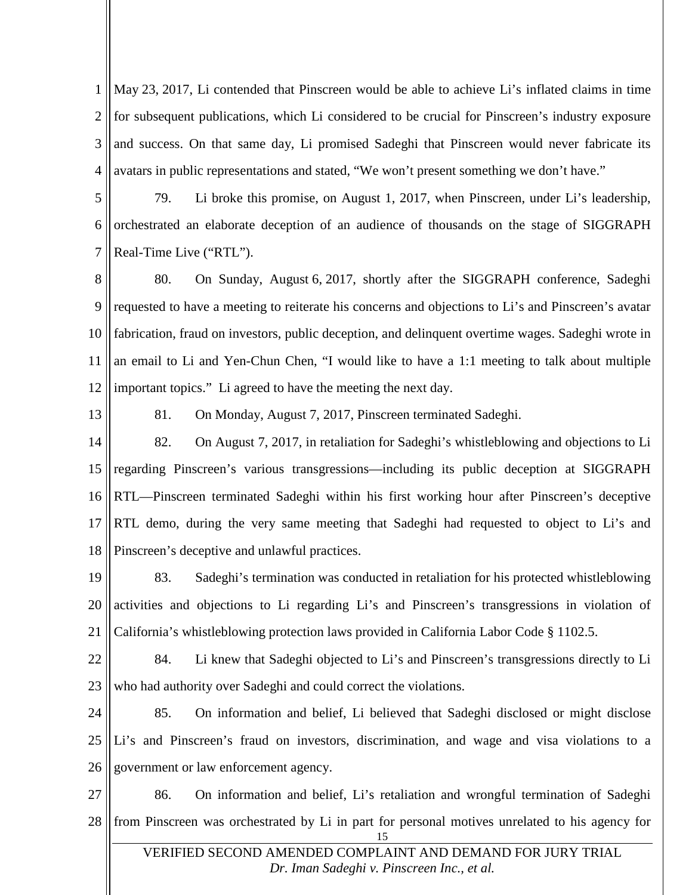1 2 3 4 May 23, 2017, Li contended that Pinscreen would be able to achieve Li's inflated claims in time for subsequent publications, which Li considered to be crucial for Pinscreen's industry exposure and success. On that same day, Li promised Sadeghi that Pinscreen would never fabricate its avatars in public representations and stated, "We won't present something we don't have."

5 6 7 79. Li broke this promise, on August 1, 2017, when Pinscreen, under Li's leadership, orchestrated an elaborate deception of an audience of thousands on the stage of SIGGRAPH Real-Time Live ("RTL").

8 9 10 11 12 80. On Sunday, August 6, 2017, shortly after the SIGGRAPH conference, Sadeghi requested to have a meeting to reiterate his concerns and objections to Li's and Pinscreen's avatar fabrication, fraud on investors, public deception, and delinquent overtime wages. Sadeghi wrote in an email to Li and Yen-Chun Chen, "I would like to have a 1:1 meeting to talk about multiple important topics." Li agreed to have the meeting the next day.

13

81. On Monday, August 7, 2017, Pinscreen terminated Sadeghi.

14 15 16 17 18 82. On August 7, 2017, in retaliation for Sadeghi's whistleblowing and objections to Li regarding Pinscreen's various transgressions—including its public deception at SIGGRAPH RTL—Pinscreen terminated Sadeghi within his first working hour after Pinscreen's deceptive RTL demo, during the very same meeting that Sadeghi had requested to object to Li's and Pinscreen's deceptive and unlawful practices.

19 20 21 83. Sadeghi's termination was conducted in retaliation for his protected whistleblowing activities and objections to Li regarding Li's and Pinscreen's transgressions in violation of California's whistleblowing protection laws provided in California Labor Code § 1102.5.

- 22 23 84. Li knew that Sadeghi objected to Li's and Pinscreen's transgressions directly to Li who had authority over Sadeghi and could correct the violations.
- 24 25 26 85. On information and belief, Li believed that Sadeghi disclosed or might disclose Li's and Pinscreen's fraud on investors, discrimination, and wage and visa violations to a government or law enforcement agency.

27 28 15 86. On information and belief, Li's retaliation and wrongful termination of Sadeghi from Pinscreen was orchestrated by Li in part for personal motives unrelated to his agency for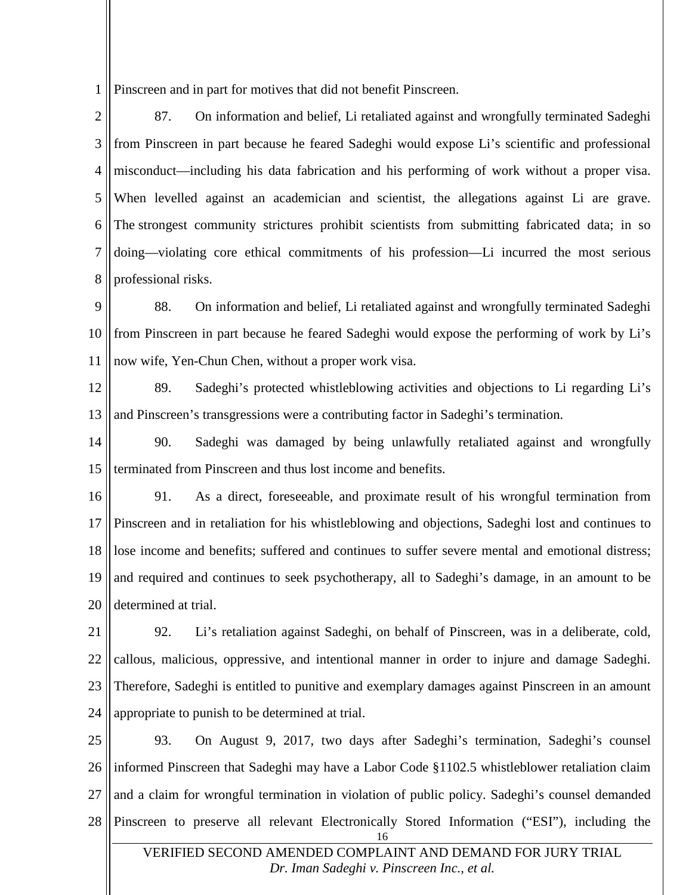1 Pinscreen and in part for motives that did not benefit Pinscreen.

2 3 4 5 6 7 8 87. On information and belief, Li retaliated against and wrongfully terminated Sadeghi from Pinscreen in part because he feared Sadeghi would expose Li's scientific and professional misconduct—including his data fabrication and his performing of work without a proper visa. When levelled against an academician and scientist, the allegations against Li are grave. The strongest community strictures prohibit scientists from submitting fabricated data; in so doing—violating core ethical commitments of his profession—Li incurred the most serious professional risks.

9 10 11 88. On information and belief, Li retaliated against and wrongfully terminated Sadeghi from Pinscreen in part because he feared Sadeghi would expose the performing of work by Li's now wife, Yen-Chun Chen, without a proper work visa.

12 13 89. Sadeghi's protected whistleblowing activities and objections to Li regarding Li's and Pinscreen's transgressions were a contributing factor in Sadeghi's termination.

14 15 90. Sadeghi was damaged by being unlawfully retaliated against and wrongfully terminated from Pinscreen and thus lost income and benefits.

16 17 18 19 20 91. As a direct, foreseeable, and proximate result of his wrongful termination from Pinscreen and in retaliation for his whistleblowing and objections, Sadeghi lost and continues to lose income and benefits; suffered and continues to suffer severe mental and emotional distress; and required and continues to seek psychotherapy, all to Sadeghi's damage, in an amount to be determined at trial.

21 22 23 24 92. Li's retaliation against Sadeghi, on behalf of Pinscreen, was in a deliberate, cold, callous, malicious, oppressive, and intentional manner in order to injure and damage Sadeghi. Therefore, Sadeghi is entitled to punitive and exemplary damages against Pinscreen in an amount appropriate to punish to be determined at trial.

25 26 27 28 16 93. On August 9, 2017, two days after Sadeghi's termination, Sadeghi's counsel informed Pinscreen that Sadeghi may have a Labor Code §1102.5 whistleblower retaliation claim and a claim for wrongful termination in violation of public policy. Sadeghi's counsel demanded Pinscreen to preserve all relevant Electronically Stored Information ("ESI"), including the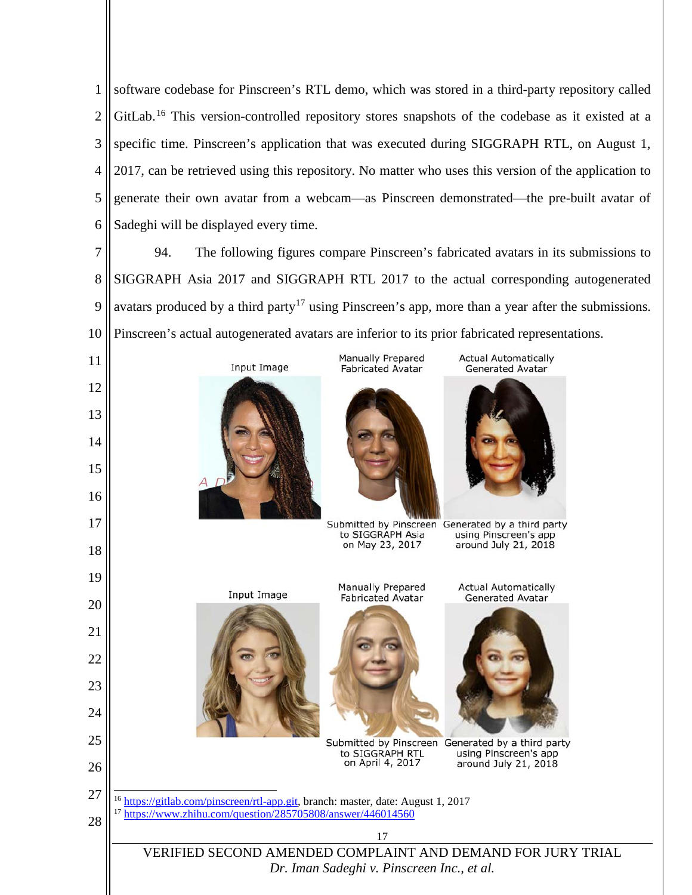1 2 3 4 5 6 software codebase for Pinscreen's RTL demo, which was stored in a third-party repository called GitLab.<sup>[16](#page-17-0)</sup> This version-controlled repository stores snapshots of the codebase as it existed at a specific time. Pinscreen's application that was executed during SIGGRAPH RTL, on August 1, 2017, can be retrieved using this repository. No matter who uses this version of the application to generate their own avatar from a webcam—as Pinscreen demonstrated—the pre-built avatar of Sadeghi will be displayed every time.

7 8 9 10 94. The following figures compare Pinscreen's fabricated avatars in its submissions to SIGGRAPH Asia 2017 and SIGGRAPH RTL 2017 to the actual corresponding autogenerated avatars produced by a third party<sup>[17](#page-17-1)</sup> using Pinscreen's app, more than a year after the submissions. Pinscreen's actual autogenerated avatars are inferior to its prior fabricated representations.

Manually Prepared

**Fabricated Avatar** 

to SIGGRAPH Asia

on May 23, 2017

Manually Prepared

**Fabricated Avatar** 

**Actual Automatically** 

**Generated Avatar** 

using Pinscreen's app

around July 21, 2018

**Actual Automatically** 

**Generated Avatar** 

using Pinscreen's app

around July 21, 2018

Submitted by Pinscreen Generated by a third party

Submitted by Pinscreen Generated by a third party

17 VERIFIED SECOND AMENDED COMPLAINT AND DEMAND FOR JURY TRIAL *[Dr. Iman Sadeghi v. Pinscreen Inc., et al.](http://sadeghi.com/dr-iman-sadeghi-v-pinscreen-inc-et-al)*

to SIGGRAPH RTL

on April 4, 2017

<sup>16</sup> [https://gitlab.com/pinscreen/rtl-app.git,](https://gitlab.com/pinscreen/rtl-app.git) branch: master, date: August 1, 2017

<sup>17</sup> <https://www.zhihu.com/question/285705808/answer/446014560>

**Input Image** 

Input Image









15

17

19

20

21

22

23

24

25

26

<span id="page-17-0"></span>27

<span id="page-17-1"></span>28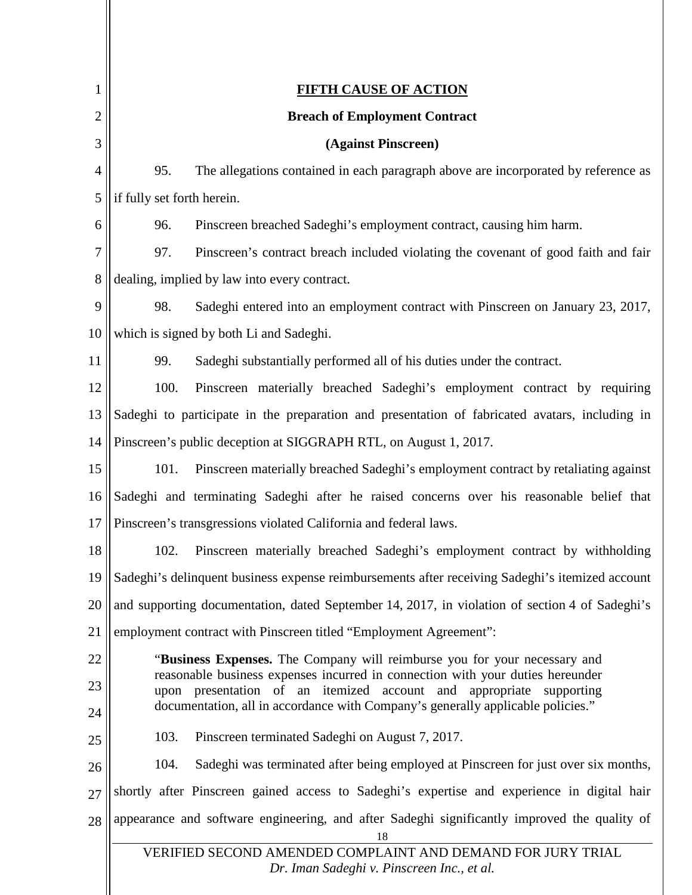<span id="page-18-0"></span>

| 1              | <b>FIFTH CAUSE OF ACTION</b>                                                                                                                                      |  |
|----------------|-------------------------------------------------------------------------------------------------------------------------------------------------------------------|--|
| $\overline{2}$ | <b>Breach of Employment Contract</b>                                                                                                                              |  |
| 3              | (Against Pinscreen)                                                                                                                                               |  |
| $\overline{4}$ | 95.<br>The allegations contained in each paragraph above are incorporated by reference as                                                                         |  |
| 5              | if fully set forth herein.                                                                                                                                        |  |
| 6              | 96.<br>Pinscreen breached Sadeghi's employment contract, causing him harm.                                                                                        |  |
| 7              | 97.<br>Pinscreen's contract breach included violating the covenant of good faith and fair                                                                         |  |
| 8              | dealing, implied by law into every contract.                                                                                                                      |  |
| 9              | 98.<br>Sadeghi entered into an employment contract with Pinscreen on January 23, 2017,                                                                            |  |
| 10             | which is signed by both Li and Sadeghi.                                                                                                                           |  |
| 11             | 99.<br>Sadeghi substantially performed all of his duties under the contract.                                                                                      |  |
| 12             | 100.<br>Pinscreen materially breached Sadeghi's employment contract by requiring                                                                                  |  |
| 13             | Sadeghi to participate in the preparation and presentation of fabricated avatars, including in                                                                    |  |
| 14             | Pinscreen's public deception at SIGGRAPH RTL, on August 1, 2017.                                                                                                  |  |
| 15             | 101.<br>Pinscreen materially breached Sadeghi's employment contract by retaliating against                                                                        |  |
| 16             | Sadeghi and terminating Sadeghi after he raised concerns over his reasonable belief that                                                                          |  |
| 17             | Pinscreen's transgressions violated California and federal laws.                                                                                                  |  |
| 18             | Pinscreen materially breached Sadeghi's employment contract by withholding<br>102.                                                                                |  |
| 19             | Sadeghi's delinquent business expense reimbursements after receiving Sadeghi's itemized account                                                                   |  |
| 20             | and supporting documentation, dated September 14, 2017, in violation of section 4 of Sadeghi's                                                                    |  |
| 21             | employment contract with Pinscreen titled "Employment Agreement":                                                                                                 |  |
| 22             | "Business Expenses. The Company will reimburse you for your necessary and                                                                                         |  |
| 23             | reasonable business expenses incurred in connection with your duties hereunder<br>upon presentation of an itemized account and appropriate supporting             |  |
| 24             | documentation, all in accordance with Company's generally applicable policies."                                                                                   |  |
| 25             | 103.<br>Pinscreen terminated Sadeghi on August 7, 2017.                                                                                                           |  |
| 26             | 104.<br>Sadeghi was terminated after being employed at Pinscreen for just over six months,                                                                        |  |
| 27             | shortly after Pinscreen gained access to Sadeghi's expertise and experience in digital hair                                                                       |  |
| 28             | appearance and software engineering, and after Sadeghi significantly improved the quality of<br>18<br>VERIFIED SECOND AMENDED COMPLAINT AND DEMAND FOR JURY TRIAL |  |
|                | Dr. Iman Sadeghi v. Pinscreen Inc., et al.                                                                                                                        |  |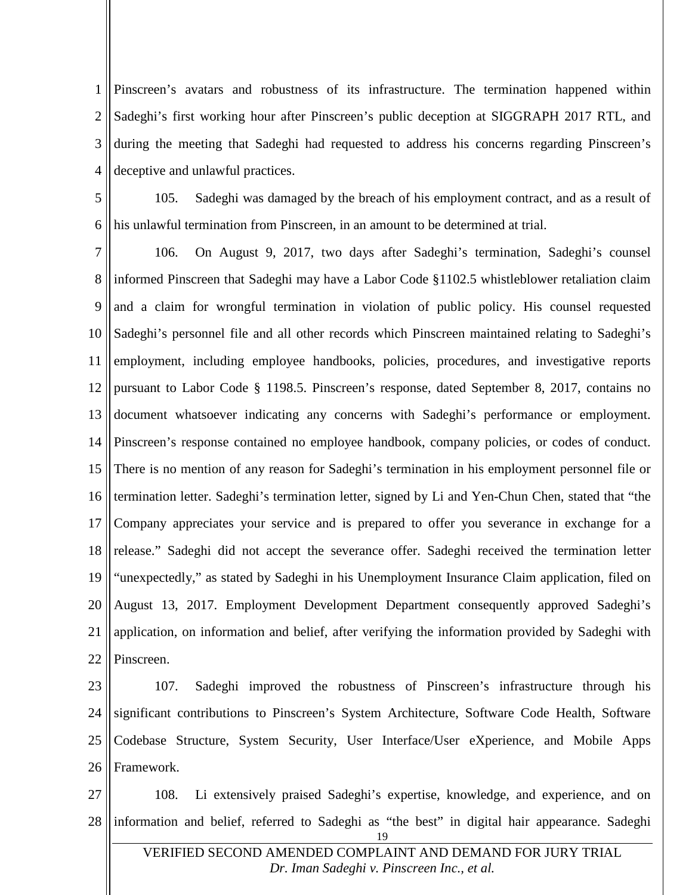1 2 3 4 Pinscreen's avatars and robustness of its infrastructure. The termination happened within Sadeghi's first working hour after Pinscreen's public deception at SIGGRAPH 2017 RTL, and during the meeting that Sadeghi had requested to address his concerns regarding Pinscreen's deceptive and unlawful practices.

5 6 105. Sadeghi was damaged by the breach of his employment contract, and as a result of his unlawful termination from Pinscreen, in an amount to be determined at trial.

7 8 9 10 11 12 13 14 15 16 17 18 19 20 21 22 106. On August 9, 2017, two days after Sadeghi's termination, Sadeghi's counsel informed Pinscreen that Sadeghi may have a Labor Code §1102.5 whistleblower retaliation claim and a claim for wrongful termination in violation of public policy. His counsel requested Sadeghi's personnel file and all other records which Pinscreen maintained relating to Sadeghi's employment, including employee handbooks, policies, procedures, and investigative reports pursuant to Labor Code § 1198.5. Pinscreen's response, dated September 8, 2017, contains no document whatsoever indicating any concerns with Sadeghi's performance or employment. Pinscreen's response contained no employee handbook, company policies, or codes of conduct. There is no mention of any reason for Sadeghi's termination in his employment personnel file or termination letter. Sadeghi's termination letter, signed by Li and Yen-Chun Chen, stated that "the Company appreciates your service and is prepared to offer you severance in exchange for a release." Sadeghi did not accept the severance offer. Sadeghi received the termination letter "unexpectedly," as stated by Sadeghi in his Unemployment Insurance Claim application, filed on August 13, 2017. Employment Development Department consequently approved Sadeghi's application, on information and belief, after verifying the information provided by Sadeghi with Pinscreen.

23 24 25 26 107. Sadeghi improved the robustness of Pinscreen's infrastructure through his significant contributions to Pinscreen's System Architecture, Software Code Health, Software Codebase Structure, System Security, User Interface/User eXperience, and Mobile Apps Framework.

27 28 19 VERIFIED SECOND AMENDED COMPLAINT AND DEMAND FOR JURY TRIAL 108. Li extensively praised Sadeghi's expertise, knowledge, and experience, and on information and belief, referred to Sadeghi as "the best" in digital hair appearance. Sadeghi

*[Dr. Iman Sadeghi v. Pinscreen Inc., et al.](http://sadeghi.com/dr-iman-sadeghi-v-pinscreen-inc-et-al)*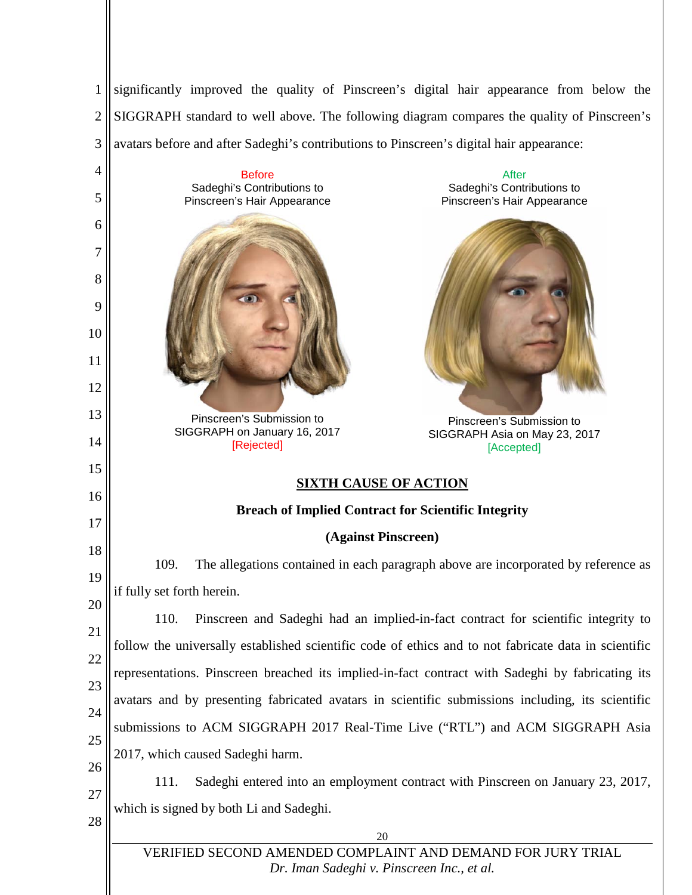1 2 3 4 5 6 7 8 9 10 11 12 13 14 15 16 17 18 significantly improved the quality of Pinscreen's digital hair appearance from below the SIGGRAPH standard to well above. The following diagram compares the quality of Pinscreen's avatars before and after Sadeghi's contributions to Pinscreen's digital hair appearance: **Before** Sadeghi's Contributions to Pinscreen's Hair Appearance Pinscreen's Submission to SIGGRAPH on January 16, 2017 [Rejected] After Sadeghi's Contributions to Pinscreen's Hair Appearance Pinscreen's Submission to SIGGRAPH Asia on May 23, 2017 [Accepted] **SIXTH CAUSE OF ACTION Breach of Implied Contract for Scientific Integrity (Against Pinscreen)**

<span id="page-20-0"></span>19 109. The allegations contained in each paragraph above are incorporated by reference as if fully set forth herein.

20 21 22 23 24 25 26 110. Pinscreen and Sadeghi had an implied-in-fact contract for scientific integrity to follow the universally established scientific code of ethics and to not fabricate data in scientific representations. Pinscreen breached its implied-in-fact contract with Sadeghi by fabricating its avatars and by presenting fabricated avatars in scientific submissions including, its scientific submissions to ACM SIGGRAPH 2017 Real-Time Live ("RTL") and ACM SIGGRAPH Asia 2017, which caused Sadeghi harm.

- 27 111. Sadeghi entered into an employment contract with Pinscreen on January 23, 2017, which is signed by both Li and Sadeghi.
- 28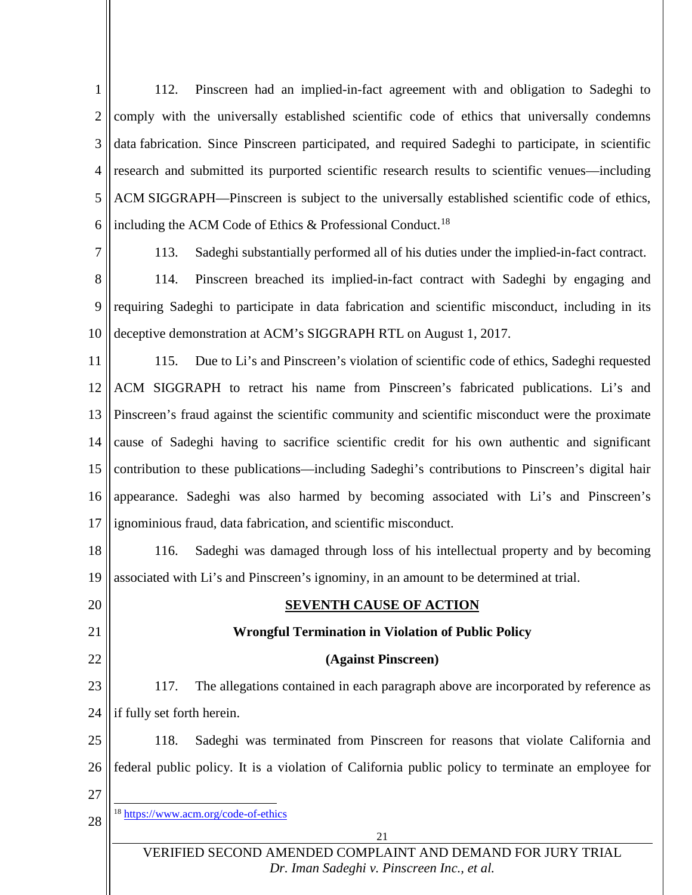1 2 3 4 5 6 112. Pinscreen had an implied-in-fact agreement with and obligation to Sadeghi to comply with the universally established scientific code of ethics that universally condemns data fabrication. Since Pinscreen participated, and required Sadeghi to participate, in scientific research and submitted its purported scientific research results to scientific venues—including ACM SIGGRAPH—Pinscreen is subject to the universally established scientific code of ethics, including the ACM Code of Ethics  $\&$  Professional Conduct.<sup>[18](#page-21-1)</sup>

7

113. Sadeghi substantially performed all of his duties under the implied-in-fact contract.

8 9 10 114. Pinscreen breached its implied-in-fact contract with Sadeghi by engaging and requiring Sadeghi to participate in data fabrication and scientific misconduct, including in its deceptive demonstration at ACM's SIGGRAPH RTL on August 1, 2017.

11 12 13 14 15 16 17 115. Due to Li's and Pinscreen's violation of scientific code of ethics, Sadeghi requested ACM SIGGRAPH to retract his name from Pinscreen's fabricated publications. Li's and Pinscreen's fraud against the scientific community and scientific misconduct were the proximate cause of Sadeghi having to sacrifice scientific credit for his own authentic and significant contribution to these publications—including Sadeghi's contributions to Pinscreen's digital hair appearance. Sadeghi was also harmed by becoming associated with Li's and Pinscreen's ignominious fraud, data fabrication, and scientific misconduct.

18 19 116. Sadeghi was damaged through loss of his intellectual property and by becoming associated with Li's and Pinscreen's ignominy, in an amount to be determined at trial.

<span id="page-21-0"></span>20

#### **(Against Pinscreen)**

**SEVENTH CAUSE OF ACTION**

**Wrongful Termination in Violation of Public Policy**

117. The allegations contained in each paragraph above are incorporated by reference as if fully set forth herein.

118. Sadeghi was terminated from Pinscreen for reasons that violate California and federal public policy. It is a violation of California public policy to terminate an employee for

27

<span id="page-21-1"></span>28

18 <https://www.acm.org/code-of-ethics>

VERIFIED SECOND AMENDED COMPLAINT AND DEMAND FOR JURY TRIAL *[Dr. Iman Sadeghi v. Pinscreen Inc., et al.](http://sadeghi.com/dr-iman-sadeghi-v-pinscreen-inc-et-al)*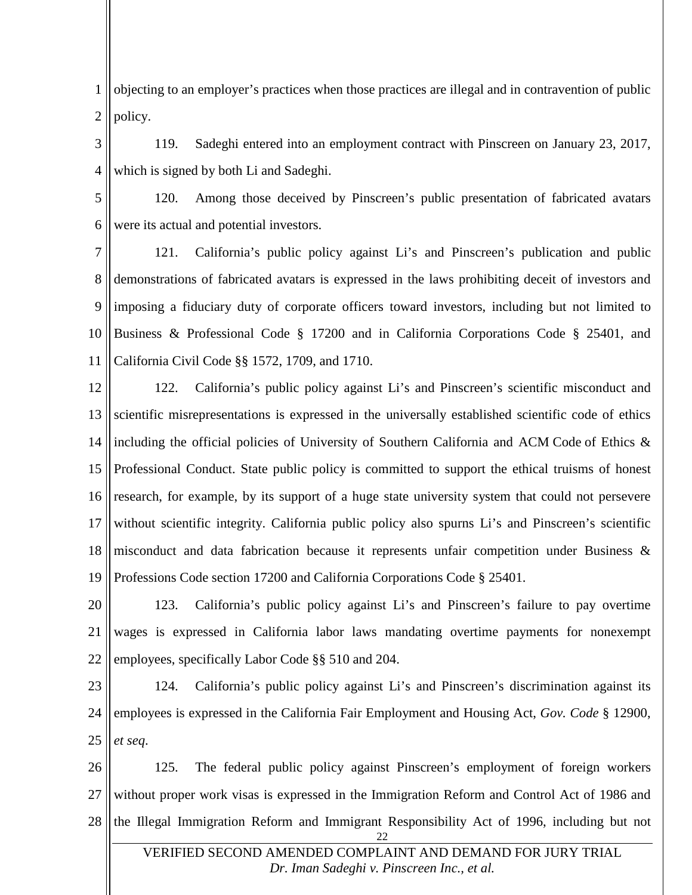1 2 objecting to an employer's practices when those practices are illegal and in contravention of public policy.

3 4 119. Sadeghi entered into an employment contract with Pinscreen on January 23, 2017, which is signed by both Li and Sadeghi.

5 6 120. Among those deceived by Pinscreen's public presentation of fabricated avatars were its actual and potential investors.

7 8 9 10 11 121. California's public policy against Li's and Pinscreen's publication and public demonstrations of fabricated avatars is expressed in the laws prohibiting deceit of investors and imposing a fiduciary duty of corporate officers toward investors, including but not limited to Business & Professional Code § 17200 and in California Corporations Code § 25401, and California Civil Code §§ 1572, 1709, and 1710.

12 13 14 15 16 17 18 19 122. California's public policy against Li's and Pinscreen's scientific misconduct and scientific misrepresentations is expressed in the universally established scientific code of ethics including the official policies of University of Southern California and ACM Code of Ethics & Professional Conduct. State public policy is committed to support the ethical truisms of honest research, for example, by its support of a huge state university system that could not persevere without scientific integrity. California public policy also spurns Li's and Pinscreen's scientific misconduct and data fabrication because it represents unfair competition under Business & Professions Code section 17200 and California Corporations Code § 25401.

20 21 22 123. California's public policy against Li's and Pinscreen's failure to pay overtime wages is expressed in California labor laws mandating overtime payments for nonexempt employees, specifically Labor Code §§ 510 and 204.

23 24 25 124. California's public policy against Li's and Pinscreen's discrimination against its employees is expressed in the California Fair Employment and Housing Act, *Gov. Code* § 12900, *et seq*.

26 27 28 22 125. The federal public policy against Pinscreen's employment of foreign workers without proper work visas is expressed in the Immigration Reform and Control Act of 1986 and the Illegal Immigration Reform and Immigrant Responsibility Act of 1996, including but not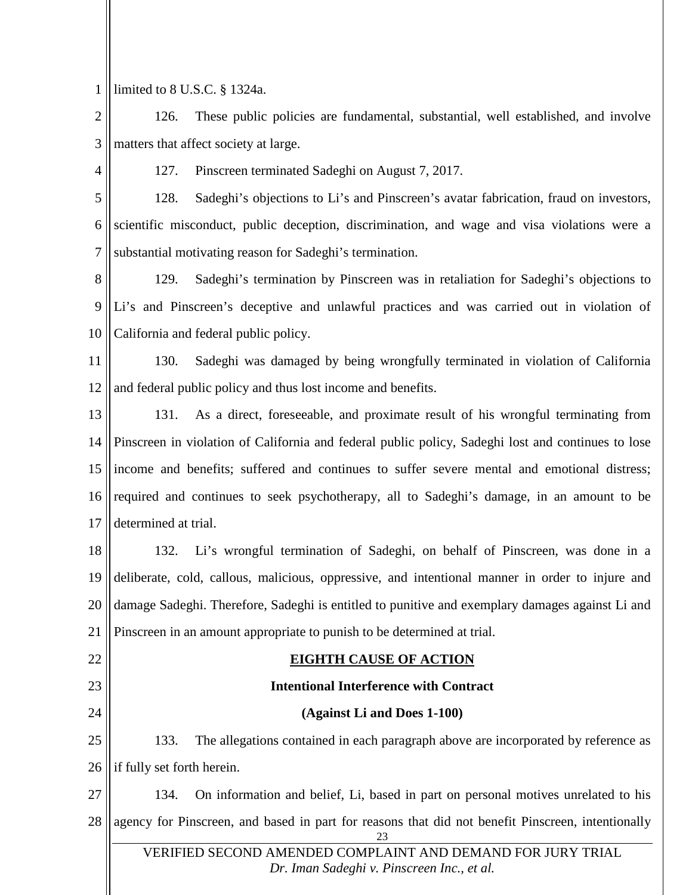1 limited to 8 U.S.C. § 1324a.

2 3 126. These public policies are fundamental, substantial, well established, and involve matters that affect society at large.

4

127. Pinscreen terminated Sadeghi on August 7, 2017.

5 6 7 128. Sadeghi's objections to Li's and Pinscreen's avatar fabrication, fraud on investors, scientific misconduct, public deception, discrimination, and wage and visa violations were a substantial motivating reason for Sadeghi's termination.

8 9 10 129. Sadeghi's termination by Pinscreen was in retaliation for Sadeghi's objections to Li's and Pinscreen's deceptive and unlawful practices and was carried out in violation of California and federal public policy.

11 12 130. Sadeghi was damaged by being wrongfully terminated in violation of California and federal public policy and thus lost income and benefits.

13 14 15 16 17 131. As a direct, foreseeable, and proximate result of his wrongful terminating from Pinscreen in violation of California and federal public policy, Sadeghi lost and continues to lose income and benefits; suffered and continues to suffer severe mental and emotional distress; required and continues to seek psychotherapy, all to Sadeghi's damage, in an amount to be determined at trial.

18 19 20 21 132. Li's wrongful termination of Sadeghi, on behalf of Pinscreen, was done in a deliberate, cold, callous, malicious, oppressive, and intentional manner in order to injure and damage Sadeghi. Therefore, Sadeghi is entitled to punitive and exemplary damages against Li and Pinscreen in an amount appropriate to punish to be determined at trial.

<span id="page-23-0"></span>22

## **EIGHTH CAUSE OF ACTION**

- 23
	- 24

#### **Intentional Interference with Contract**

#### **(Against Li and Does 1-100)**

25 26 133. The allegations contained in each paragraph above are incorporated by reference as if fully set forth herein.

27 28 23 VERIFIED SECOND AMENDED COMPLAINT AND DEMAND FOR JURY TRIAL 134. On information and belief, Li, based in part on personal motives unrelated to his agency for Pinscreen, and based in part for reasons that did not benefit Pinscreen, intentionally

*[Dr. Iman Sadeghi v. Pinscreen Inc., et al.](http://sadeghi.com/dr-iman-sadeghi-v-pinscreen-inc-et-al)*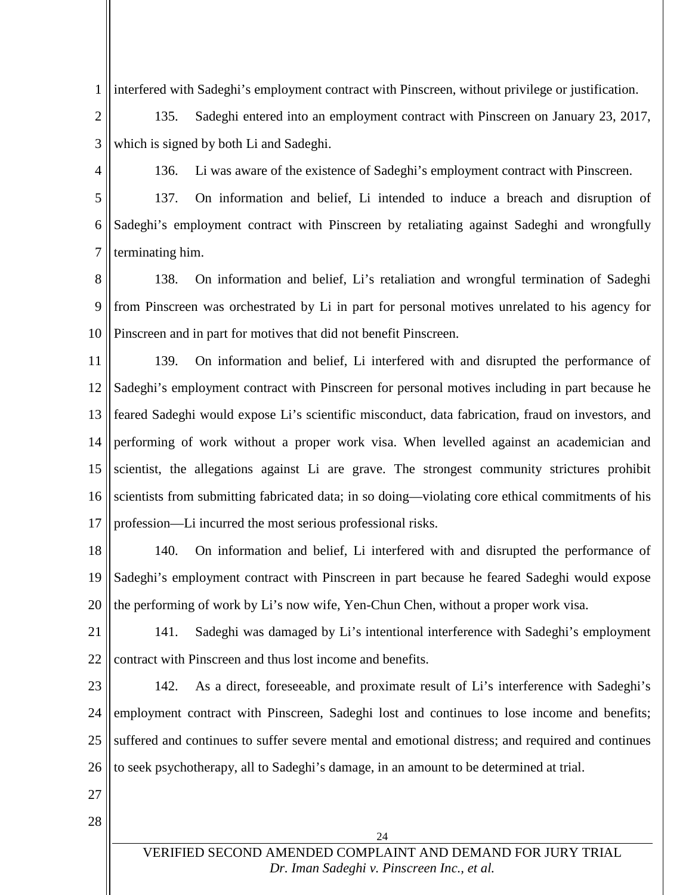1 interfered with Sadeghi's employment contract with Pinscreen, without privilege or justification.

2 3 135. Sadeghi entered into an employment contract with Pinscreen on January 23, 2017, which is signed by both Li and Sadeghi.

4

136. Li was aware of the existence of Sadeghi's employment contract with Pinscreen.

5 6 7 137. On information and belief, Li intended to induce a breach and disruption of Sadeghi's employment contract with Pinscreen by retaliating against Sadeghi and wrongfully terminating him.

8 9 10 138. On information and belief, Li's retaliation and wrongful termination of Sadeghi from Pinscreen was orchestrated by Li in part for personal motives unrelated to his agency for Pinscreen and in part for motives that did not benefit Pinscreen.

11 12 13 14 15 16 17 139. On information and belief, Li interfered with and disrupted the performance of Sadeghi's employment contract with Pinscreen for personal motives including in part because he feared Sadeghi would expose Li's scientific misconduct, data fabrication, fraud on investors, and performing of work without a proper work visa. When levelled against an academician and scientist, the allegations against Li are grave. The strongest community strictures prohibit scientists from submitting fabricated data; in so doing—violating core ethical commitments of his profession—Li incurred the most serious professional risks.

18 19 20 140. On information and belief, Li interfered with and disrupted the performance of Sadeghi's employment contract with Pinscreen in part because he feared Sadeghi would expose the performing of work by Li's now wife, Yen-Chun Chen, without a proper work visa.

21 22 141. Sadeghi was damaged by Li's intentional interference with Sadeghi's employment contract with Pinscreen and thus lost income and benefits.

23 24 25 26 142. As a direct, foreseeable, and proximate result of Li's interference with Sadeghi's employment contract with Pinscreen, Sadeghi lost and continues to lose income and benefits; suffered and continues to suffer severe mental and emotional distress; and required and continues to seek psychotherapy, all to Sadeghi's damage, in an amount to be determined at trial.

- <span id="page-24-0"></span>27
- 28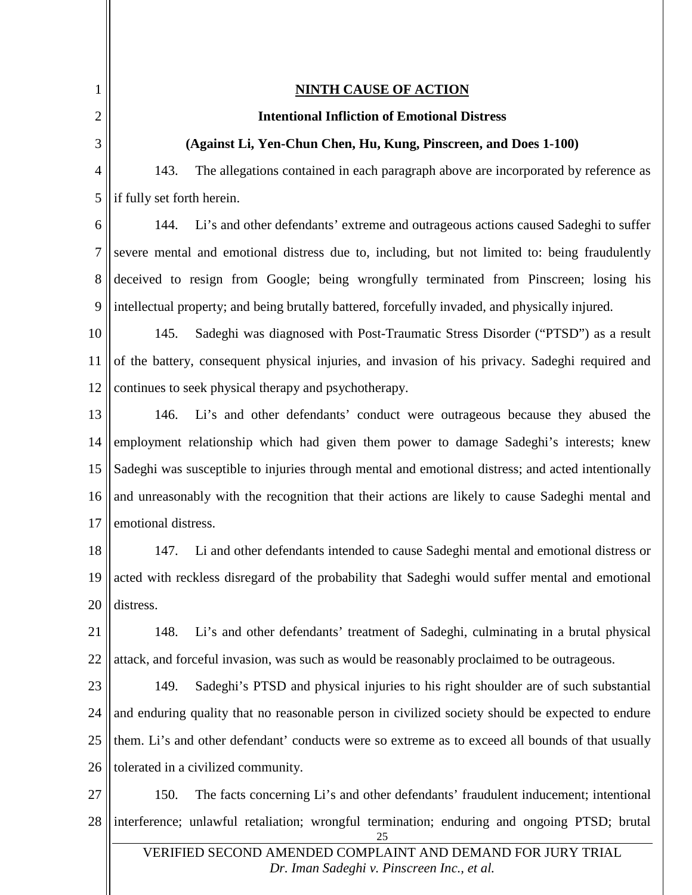<span id="page-25-0"></span>

| 1  | <b>NINTH CAUSE OF ACTION</b>                                                                       |
|----|----------------------------------------------------------------------------------------------------|
| 2  | <b>Intentional Infliction of Emotional Distress</b>                                                |
|    |                                                                                                    |
| 3  | (Against Li, Yen-Chun Chen, Hu, Kung, Pinscreen, and Does 1-100)                                   |
| 4  | 143.<br>The allegations contained in each paragraph above are incorporated by reference as         |
| 5  | if fully set forth herein.                                                                         |
| 6  | Li's and other defendants' extreme and outrageous actions caused Sadeghi to suffer<br>144.         |
| 7  | severe mental and emotional distress due to, including, but not limited to: being fraudulently     |
| 8  | deceived to resign from Google; being wrongfully terminated from Pinscreen; losing his             |
| 9  | intellectual property; and being brutally battered, forcefully invaded, and physically injured.    |
| 10 | Sadeghi was diagnosed with Post-Traumatic Stress Disorder ("PTSD") as a result<br>145.             |
| 11 | of the battery, consequent physical injuries, and invasion of his privacy. Sadeghi required and    |
| 12 | continues to seek physical therapy and psychotherapy.                                              |
| 13 | Li's and other defendants' conduct were outrageous because they abused the<br>146.                 |
| 14 | employment relationship which had given them power to damage Sadeghi's interests; knew             |
| 15 | Sadeghi was susceptible to injuries through mental and emotional distress; and acted intentionally |
| 16 | and unreasonably with the recognition that their actions are likely to cause Sadeghi mental and    |
| 17 | emotional distress.                                                                                |
| 18 | Li and other defendants intended to cause Sadeghi mental and emotional distress or<br>147.         |
| 19 | acted with reckless disregard of the probability that Sadeghi would suffer mental and emotional    |
| 20 | distress.                                                                                          |
| 21 | Li's and other defendants' treatment of Sadeghi, culminating in a brutal physical<br>148.          |
| 22 | attack, and forceful invasion, was such as would be reasonably proclaimed to be outrageous.        |
| 23 | Sadeghi's PTSD and physical injuries to his right shoulder are of such substantial<br>149.         |
| 24 | and enduring quality that no reasonable person in civilized society should be expected to endure   |
| 25 | them. Li's and other defendant' conducts were so extreme as to exceed all bounds of that usually   |
| 26 | tolerated in a civilized community.                                                                |
| 27 | The facts concerning Li's and other defendants' fraudulent inducement; intentional<br>150.         |
| 28 | interference; unlawful retaliation; wrongful termination; enduring and ongoing PTSD; brutal        |

VERIFIED SECOND AMENDED COMPLAINT AND DEMAND FOR JURY TRIAL *[Dr. Iman Sadeghi v. Pinscreen Inc., et al.](http://sadeghi.com/dr-iman-sadeghi-v-pinscreen-inc-et-al)*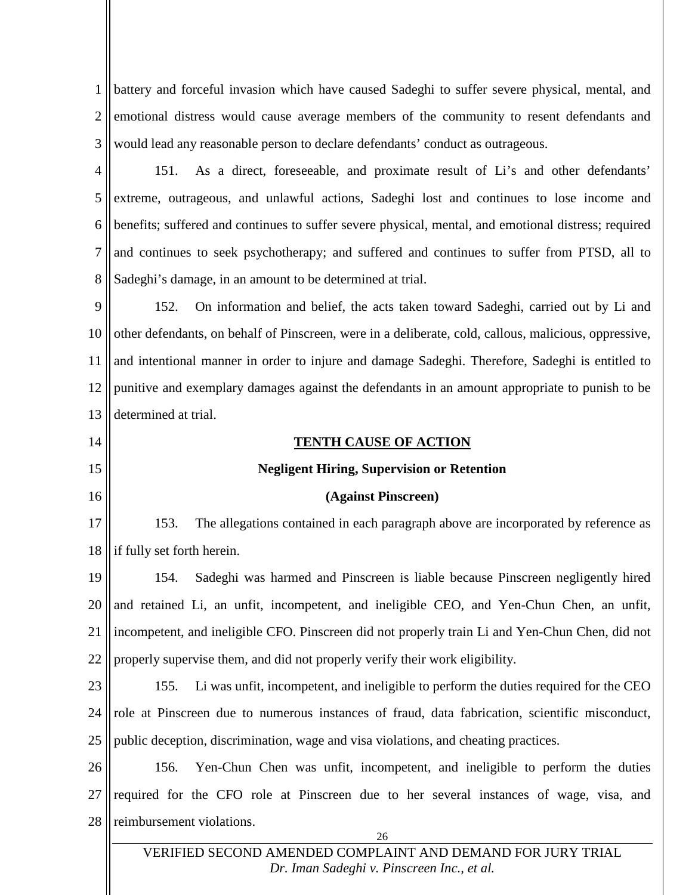1 2 3 battery and forceful invasion which have caused Sadeghi to suffer severe physical, mental, and emotional distress would cause average members of the community to resent defendants and would lead any reasonable person to declare defendants' conduct as outrageous.

4 5 6 7 8 151. As a direct, foreseeable, and proximate result of Li's and other defendants' extreme, outrageous, and unlawful actions, Sadeghi lost and continues to lose income and benefits; suffered and continues to suffer severe physical, mental, and emotional distress; required and continues to seek psychotherapy; and suffered and continues to suffer from PTSD, all to Sadeghi's damage, in an amount to be determined at trial.

9 10 11 12 13 152. On information and belief, the acts taken toward Sadeghi, carried out by Li and other defendants, on behalf of Pinscreen, were in a deliberate, cold, callous, malicious, oppressive, and intentional manner in order to injure and damage Sadeghi. Therefore, Sadeghi is entitled to punitive and exemplary damages against the defendants in an amount appropriate to punish to be determined at trial.

# **TENTH CAUSE OF ACTION Negligent Hiring, Supervision or Retention (Against Pinscreen)**

14

15

16

17 18 153. The allegations contained in each paragraph above are incorporated by reference as if fully set forth herein.

19 20 21 22 154. Sadeghi was harmed and Pinscreen is liable because Pinscreen negligently hired and retained Li, an unfit, incompetent, and ineligible CEO, and Yen-Chun Chen, an unfit, incompetent, and ineligible CFO. Pinscreen did not properly train Li and Yen-Chun Chen, did not properly supervise them, and did not properly verify their work eligibility.

23 24 25 155. Li was unfit, incompetent, and ineligible to perform the duties required for the CEO role at Pinscreen due to numerous instances of fraud, data fabrication, scientific misconduct, public deception, discrimination, wage and visa violations, and cheating practices.

26 27 28 156. Yen-Chun Chen was unfit, incompetent, and ineligible to perform the duties required for the CFO role at Pinscreen due to her several instances of wage, visa, and reimbursement violations.

## VERIFIED SECOND AMENDED COMPLAINT AND DEMAND FOR JURY TRIAL *[Dr. Iman Sadeghi v. Pinscreen Inc., et al.](http://sadeghi.com/dr-iman-sadeghi-v-pinscreen-inc-et-al)*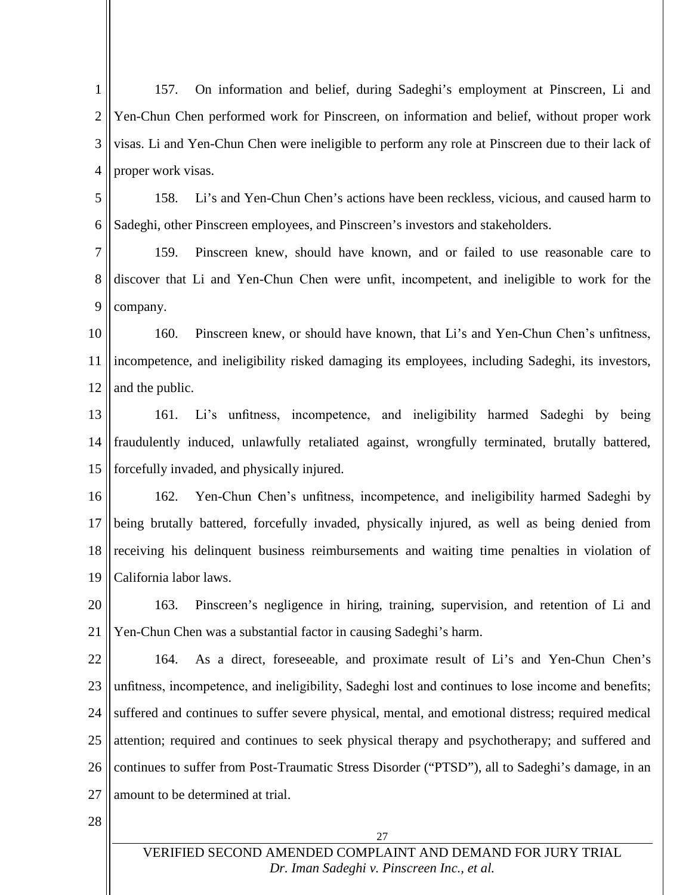1 2 3 4 157. On information and belief, during Sadeghi's employment at Pinscreen, Li and Yen-Chun Chen performed work for Pinscreen, on information and belief, without proper work visas. Li and Yen-Chun Chen were ineligible to perform any role at Pinscreen due to their lack of proper work visas.

5 6 158. Li's and Yen-Chun Chen's actions have been reckless, vicious, and caused harm to Sadeghi, other Pinscreen employees, and Pinscreen's investors and stakeholders.

7 8 9 159. Pinscreen knew, should have known, and or failed to use reasonable care to discover that Li and Yen-Chun Chen were unfit, incompetent, and ineligible to work for the company.

10 11 12 160. Pinscreen knew, or should have known, that Li's and Yen-Chun Chen's unfitness, incompetence, and ineligibility risked damaging its employees, including Sadeghi, its investors, and the public.

13 14 15 161. Li's unfitness, incompetence, and ineligibility harmed Sadeghi by being fraudulently induced, unlawfully retaliated against, wrongfully terminated, brutally battered, forcefully invaded, and physically injured.

16 17 18 19 162. Yen-Chun Chen's unfitness, incompetence, and ineligibility harmed Sadeghi by being brutally battered, forcefully invaded, physically injured, as well as being denied from receiving his delinquent business reimbursements and waiting time penalties in violation of California labor laws.

20 21 163. Pinscreen's negligence in hiring, training, supervision, and retention of Li and Yen-Chun Chen was a substantial factor in causing Sadeghi's harm.

22 23 24 25 26 27 164. As a direct, foreseeable, and proximate result of Li's and Yen-Chun Chen's unfitness, incompetence, and ineligibility, Sadeghi lost and continues to lose income and benefits; suffered and continues to suffer severe physical, mental, and emotional distress; required medical attention; required and continues to seek physical therapy and psychotherapy; and suffered and continues to suffer from Post-Traumatic Stress Disorder ("PTSD"), all to Sadeghi's damage, in an amount to be determined at trial.

28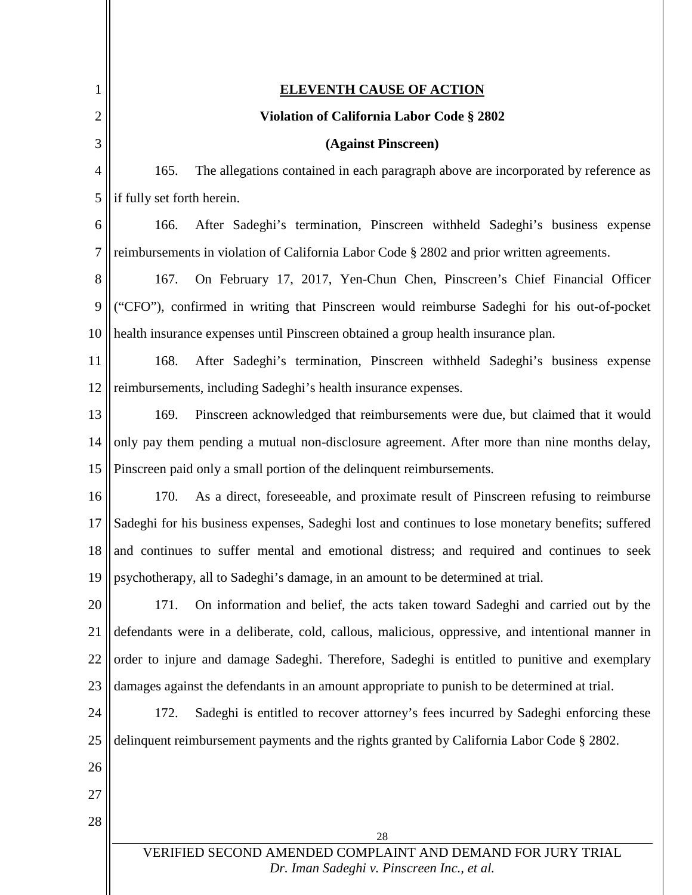<span id="page-28-0"></span>

| 1              | <b>ELEVENTH CAUSE OF ACTION</b>                                                                                 |  |
|----------------|-----------------------------------------------------------------------------------------------------------------|--|
| 2              | Violation of California Labor Code § 2802                                                                       |  |
| 3              | (Against Pinscreen)                                                                                             |  |
| $\overline{4}$ | The allegations contained in each paragraph above are incorporated by reference as<br>165.                      |  |
| 5              | if fully set forth herein.                                                                                      |  |
| 6              | After Sadeghi's termination, Pinscreen withheld Sadeghi's business expense<br>166.                              |  |
| 7              | reimbursements in violation of California Labor Code § 2802 and prior written agreements.                       |  |
| 8              | 167.<br>On February 17, 2017, Yen-Chun Chen, Pinscreen's Chief Financial Officer                                |  |
| 9              | ("CFO"), confirmed in writing that Pinscreen would reimburse Sadeghi for his out-of-pocket                      |  |
| 10             | health insurance expenses until Pinscreen obtained a group health insurance plan.                               |  |
| 11             | After Sadeghi's termination, Pinscreen withheld Sadeghi's business expense<br>168.                              |  |
| 12             | reimbursements, including Sadeghi's health insurance expenses.                                                  |  |
| 13             | Pinscreen acknowledged that reimbursements were due, but claimed that it would<br>169.                          |  |
| 14             | only pay them pending a mutual non-disclosure agreement. After more than nine months delay,                     |  |
| 15             | Pinscreen paid only a small portion of the delinquent reimbursements.                                           |  |
| 16             | As a direct, foreseeable, and proximate result of Pinscreen refusing to reimburse<br>170.                       |  |
| 17             | Sadeghi for his business expenses, Sadeghi lost and continues to lose monetary benefits; suffered               |  |
| 18             | and continues to suffer mental and emotional distress; and required and continues to seek                       |  |
| 19             | psychotherapy, all to Sadeghi's damage, in an amount to be determined at trial.                                 |  |
| 20             | 171.<br>On information and belief, the acts taken toward Sadeghi and carried out by the                         |  |
| 21             | defendants were in a deliberate, cold, callous, malicious, oppressive, and intentional manner in                |  |
| 22             | order to injure and damage Sadeghi. Therefore, Sadeghi is entitled to punitive and exemplary                    |  |
| 23             | damages against the defendants in an amount appropriate to punish to be determined at trial.                    |  |
| 24             | Sadeghi is entitled to recover attorney's fees incurred by Sadeghi enforcing these<br>172.                      |  |
| 25             | delinquent reimbursement payments and the rights granted by California Labor Code § 2802.                       |  |
| 26             |                                                                                                                 |  |
| 27             |                                                                                                                 |  |
| 28             |                                                                                                                 |  |
|                | 28<br>VERIFIED SECOND AMENDED COMPLAINT AND DEMAND FOR JURY TRIAL<br>Dr. Iman Sadeghi v. Pinscreen Inc., et al. |  |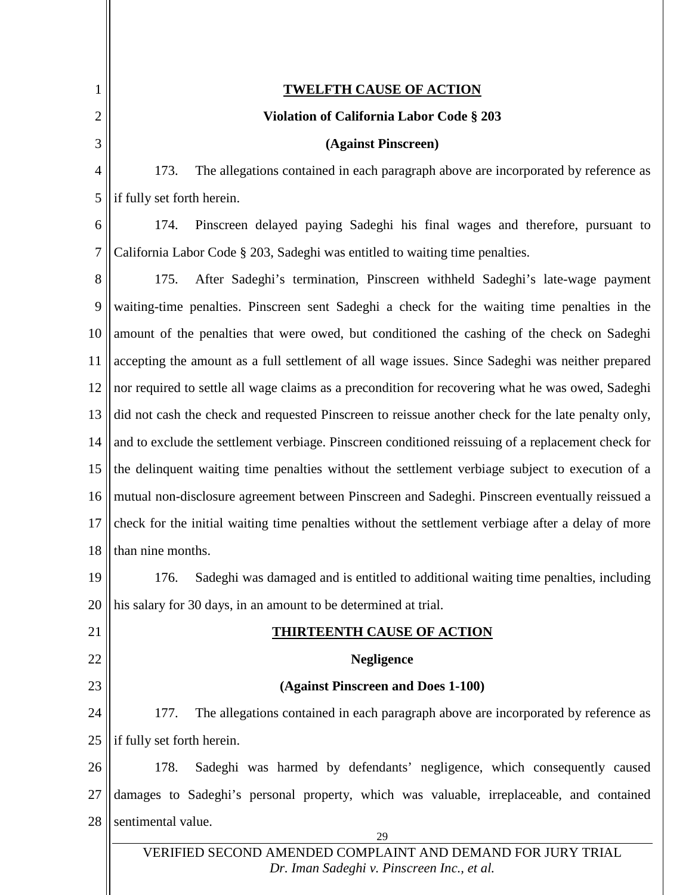<span id="page-29-1"></span><span id="page-29-0"></span>

| 1              | <u>TWELFTH CAUSE OF ACTION</u>                                                                            |
|----------------|-----------------------------------------------------------------------------------------------------------|
| $\overline{2}$ | <b>Violation of California Labor Code § 203</b>                                                           |
| 3              | (Against Pinscreen)                                                                                       |
| $\overline{4}$ | 173.<br>The allegations contained in each paragraph above are incorporated by reference as                |
| 5              | if fully set forth herein.                                                                                |
| 6              | Pinscreen delayed paying Sadeghi his final wages and therefore, pursuant to<br>174.                       |
| 7              | California Labor Code § 203, Sadeghi was entitled to waiting time penalties.                              |
| 8              | After Sadeghi's termination, Pinscreen withheld Sadeghi's late-wage payment<br>175.                       |
| 9              | waiting-time penalties. Pinscreen sent Sadeghi a check for the waiting time penalties in the              |
| 10             | amount of the penalties that were owed, but conditioned the cashing of the check on Sadeghi               |
| 11             | accepting the amount as a full settlement of all wage issues. Since Sadeghi was neither prepared          |
| 12             | nor required to settle all wage claims as a precondition for recovering what he was owed, Sadeghi         |
| 13             | did not cash the check and requested Pinscreen to reissue another check for the late penalty only,        |
| 14             | and to exclude the settlement verbiage. Pinscreen conditioned reissuing of a replacement check for        |
| 15             | the delinquent waiting time penalties without the settlement verbiage subject to execution of a           |
| 16             | mutual non-disclosure agreement between Pinscreen and Sadeghi. Pinscreen eventually reissued a            |
| 17             | check for the initial waiting time penalties without the settlement verbiage after a delay of more        |
| 18             | than nine months.                                                                                         |
| 19             | 176. Sadeghi was damaged and is entitled to additional waiting time penalties, including                  |
| 20             | his salary for 30 days, in an amount to be determined at trial.                                           |
| 21             | <b>HIRTEENTH CAUSE OF ACTION</b>                                                                          |
| 22             | <b>Negligence</b>                                                                                         |
| 23             | (Against Pinscreen and Does 1-100)                                                                        |
| 24             | The allegations contained in each paragraph above are incorporated by reference as<br>177.                |
| 25             | if fully set forth herein.                                                                                |
| 26             | Sadeghi was harmed by defendants' negligence, which consequently caused<br>178.                           |
| 27             | damages to Sadeghi's personal property, which was valuable, irreplaceable, and contained                  |
| 28             | sentimental value.<br>29                                                                                  |
|                | VERIFIED SECOND AMENDED COMPLAINT AND DEMAND FOR JURY TRIAL<br>Dr. Iman Sadeghi v. Pinscreen Inc., et al. |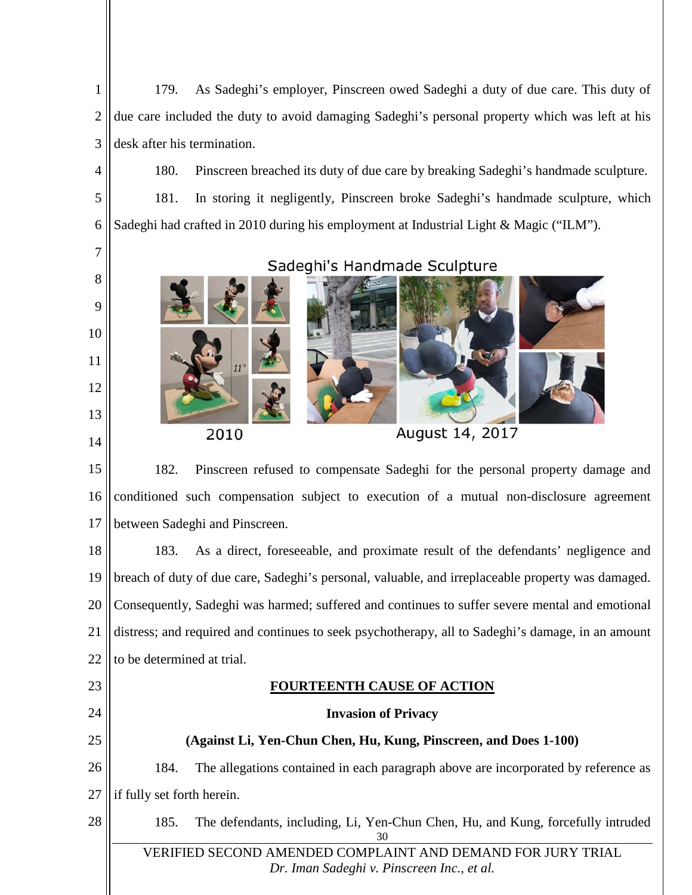1 2 3 179. As Sadeghi's employer, Pinscreen owed Sadeghi a duty of due care. This duty of due care included the duty to avoid damaging Sadeghi's personal property which was left at his desk after his termination.

180. Pinscreen breached its duty of due care by breaking Sadeghi's handmade sculpture. 181. In storing it negligently, Pinscreen broke Sadeghi's handmade sculpture, which Sadeghi had crafted in 2010 during his employment at Industrial Light & Magic ("ILM").



15 16 17 182. Pinscreen refused to compensate Sadeghi for the personal property damage and conditioned such compensation subject to execution of a mutual non-disclosure agreement between Sadeghi and Pinscreen.

18 19 20 21 22 183. As a direct, foreseeable, and proximate result of the defendants' negligence and breach of duty of due care, Sadeghi's personal, valuable, and irreplaceable property was damaged. Consequently, Sadeghi was harmed; suffered and continues to suffer severe mental and emotional distress; and required and continues to seek psychotherapy, all to Sadeghi's damage, in an amount to be determined at trial.

# **FOURTEENTH CAUSE OF ACTION**

## **Invasion of Privacy**

# **(Against Li, Yen-Chun Chen, Hu, Kung, Pinscreen, and Does 1-100)**

26 27 184. The allegations contained in each paragraph above are incorporated by reference as if fully set forth herein.

# 28

23

<span id="page-30-0"></span>24

25

4

5

6

30 185. The defendants, including, Li, Yen-Chun Chen, Hu, and Kung, forcefully intruded

VERIFIED SECOND AMENDED COMPLAINT AND DEMAND FOR JURY TRIAL *[Dr. Iman Sadeghi v. Pinscreen Inc., et al.](http://sadeghi.com/dr-iman-sadeghi-v-pinscreen-inc-et-al)*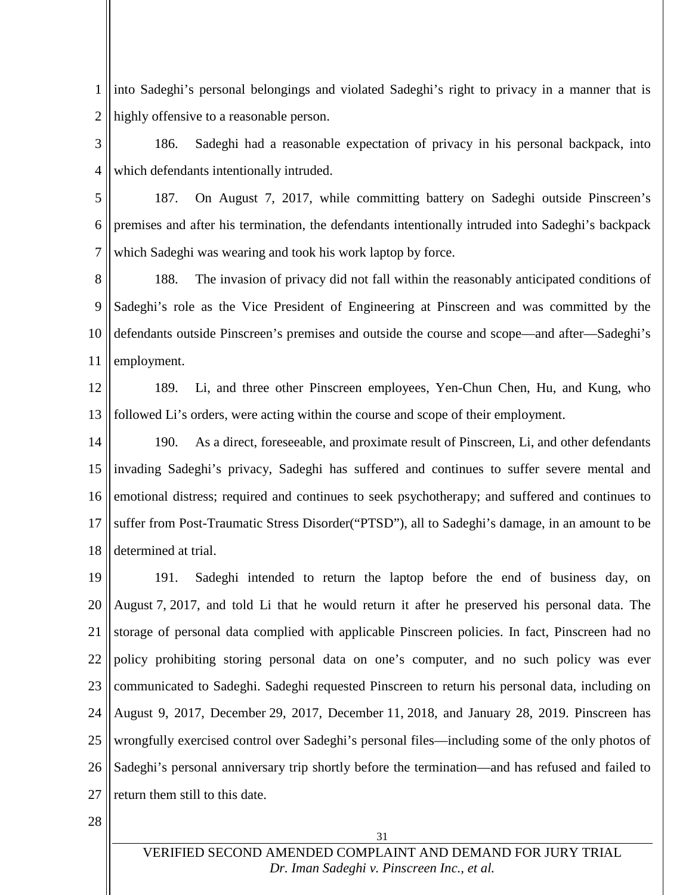1 2 into Sadeghi's personal belongings and violated Sadeghi's right to privacy in a manner that is highly offensive to a reasonable person.

3 4 186. Sadeghi had a reasonable expectation of privacy in his personal backpack, into which defendants intentionally intruded.

5 6 7 187. On August 7, 2017, while committing battery on Sadeghi outside Pinscreen's premises and after his termination, the defendants intentionally intruded into Sadeghi's backpack which Sadeghi was wearing and took his work laptop by force.

8 9 10 11 188. The invasion of privacy did not fall within the reasonably anticipated conditions of Sadeghi's role as the Vice President of Engineering at Pinscreen and was committed by the defendants outside Pinscreen's premises and outside the course and scope—and after—Sadeghi's employment.

12 13 189. Li, and three other Pinscreen employees, Yen-Chun Chen, Hu, and Kung, who followed Li's orders, were acting within the course and scope of their employment.

14 15 16 17 18 190. As a direct, foreseeable, and proximate result of Pinscreen, Li, and other defendants invading Sadeghi's privacy, Sadeghi has suffered and continues to suffer severe mental and emotional distress; required and continues to seek psychotherapy; and suffered and continues to suffer from Post-Traumatic Stress Disorder("PTSD"), all to Sadeghi's damage, in an amount to be determined at trial.

19 20 21 22 23 24 25 26 27 191. Sadeghi intended to return the laptop before the end of business day, on August 7, 2017, and told Li that he would return it after he preserved his personal data. The storage of personal data complied with applicable Pinscreen policies. In fact, Pinscreen had no policy prohibiting storing personal data on one's computer, and no such policy was ever communicated to Sadeghi. Sadeghi requested Pinscreen to return his personal data, including on August 9, 2017, December 29, 2017, December 11, 2018, and January 28, 2019. Pinscreen has wrongfully exercised control over Sadeghi's personal files—including some of the only photos of Sadeghi's personal anniversary trip shortly before the termination—and has refused and failed to return them still to this date.

28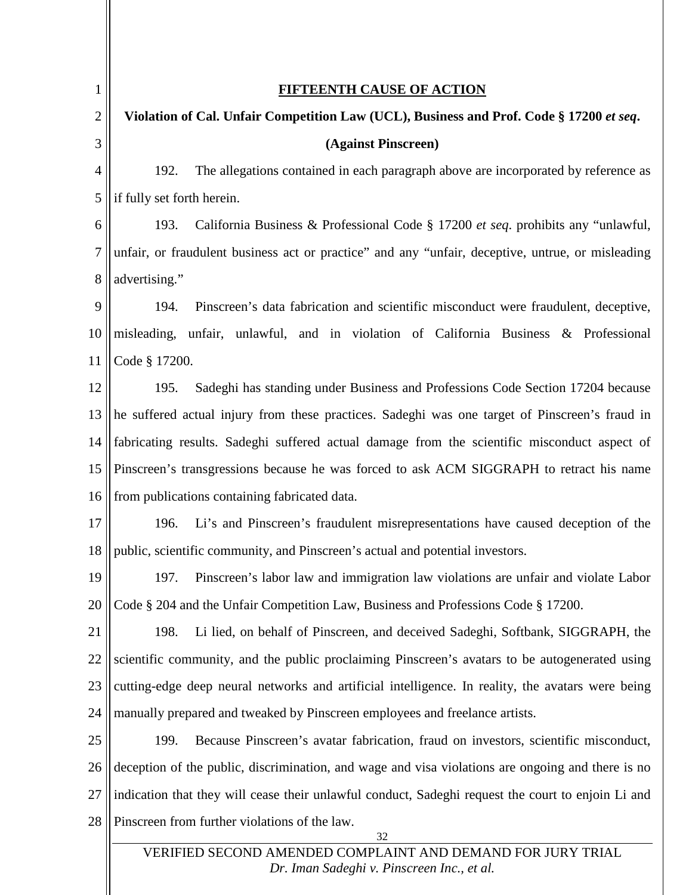<span id="page-32-0"></span>

| 1      | <b>FIFTEENTH CAUSE OF ACTION</b>                                                                   |
|--------|----------------------------------------------------------------------------------------------------|
| 2      | Violation of Cal. Unfair Competition Law (UCL), Business and Prof. Code § 17200 et seq.            |
| 3      | (Against Pinscreen)                                                                                |
| 4      | The allegations contained in each paragraph above are incorporated by reference as<br>192.         |
| 5      | if fully set forth herein.                                                                         |
| 6      | California Business & Professional Code § 17200 et seq. prohibits any "unlawful,<br>193.           |
| $\tau$ | unfair, or fraudulent business act or practice" and any "unfair, deceptive, untrue, or misleading  |
| 8      | advertising."                                                                                      |
| 9      | Pinscreen's data fabrication and scientific misconduct were fraudulent, deceptive,<br>194.         |
| 10     | misleading, unfair, unlawful, and in violation of California Business & Professional               |
| 11     | Code § 17200.                                                                                      |
| 12     | Sadeghi has standing under Business and Professions Code Section 17204 because<br>195.             |
| 13     | he suffered actual injury from these practices. Sadeghi was one target of Pinscreen's fraud in     |
| 14     | fabricating results. Sadeghi suffered actual damage from the scientific misconduct aspect of       |
| 15     | Pinscreen's transgressions because he was forced to ask ACM SIGGRAPH to retract his name           |
| 16     | from publications containing fabricated data.                                                      |
| 17     | Li's and Pinscreen's fraudulent misrepresentations have caused deception of the<br>196.            |
| 18     | public, scientific community, and Pinscreen's actual and potential investors.                      |
| 19     | 197.<br>Pinscreen's labor law and immigration law violations are unfair and violate Labor          |
| 20     | Code § 204 and the Unfair Competition Law, Business and Professions Code § 17200.                  |
| 21     | 198.<br>Li lied, on behalf of Pinscreen, and deceived Sadeghi, Softbank, SIGGRAPH, the             |
| 22     | scientific community, and the public proclaiming Pinscreen's avatars to be autogenerated using     |
| 23     | cutting-edge deep neural networks and artificial intelligence. In reality, the avatars were being  |
| 24     | manually prepared and tweaked by Pinscreen employees and freelance artists.                        |
| 25     | Because Pinscreen's avatar fabrication, fraud on investors, scientific misconduct,<br>199.         |
| 26     | deception of the public, discrimination, and wage and visa violations are ongoing and there is no  |
| 27     | indication that they will cease their unlawful conduct, Sadeghi request the court to enjoin Li and |
| 28     | Pinscreen from further violations of the law.                                                      |
|        | 32<br>VERIFIED SECOND AMENDED COMPLAINT AND DEMAND FOR JURY TRIAL                                  |

*[Dr. Iman Sadeghi v. Pinscreen Inc., et al.](http://sadeghi.com/dr-iman-sadeghi-v-pinscreen-inc-et-al)*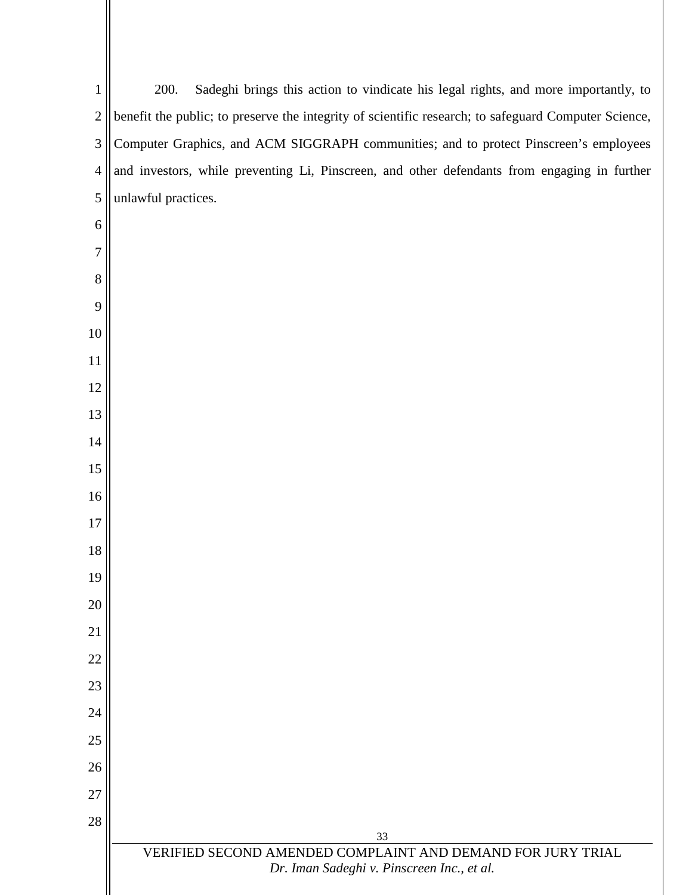| $\mathbf{1}$   | 200.<br>Sadeghi brings this action to vindicate his legal rights, and more importantly, to                |
|----------------|-----------------------------------------------------------------------------------------------------------|
| $\overline{2}$ | benefit the public; to preserve the integrity of scientific research; to safeguard Computer Science,      |
| 3              | Computer Graphics, and ACM SIGGRAPH communities; and to protect Pinscreen's employees                     |
| $\overline{4}$ | and investors, while preventing Li, Pinscreen, and other defendants from engaging in further              |
| 5              | unlawful practices.                                                                                       |
| 6              |                                                                                                           |
| 7              |                                                                                                           |
| 8              |                                                                                                           |
| 9              |                                                                                                           |
| 10             |                                                                                                           |
| 11             |                                                                                                           |
| 12             |                                                                                                           |
| 13             |                                                                                                           |
| 14             |                                                                                                           |
| 15             |                                                                                                           |
| 16             |                                                                                                           |
| 17             |                                                                                                           |
| 18             |                                                                                                           |
| 19             |                                                                                                           |
| 20             |                                                                                                           |
| 21             |                                                                                                           |
| 22             |                                                                                                           |
| 23             |                                                                                                           |
| 24             |                                                                                                           |
| 25             |                                                                                                           |
| 26             |                                                                                                           |
| 27             |                                                                                                           |
| 28             | 33                                                                                                        |
|                | VERIFIED SECOND AMENDED COMPLAINT AND DEMAND FOR JURY TRIAL<br>Dr. Iman Sadeghi v. Pinscreen Inc., et al. |
|                |                                                                                                           |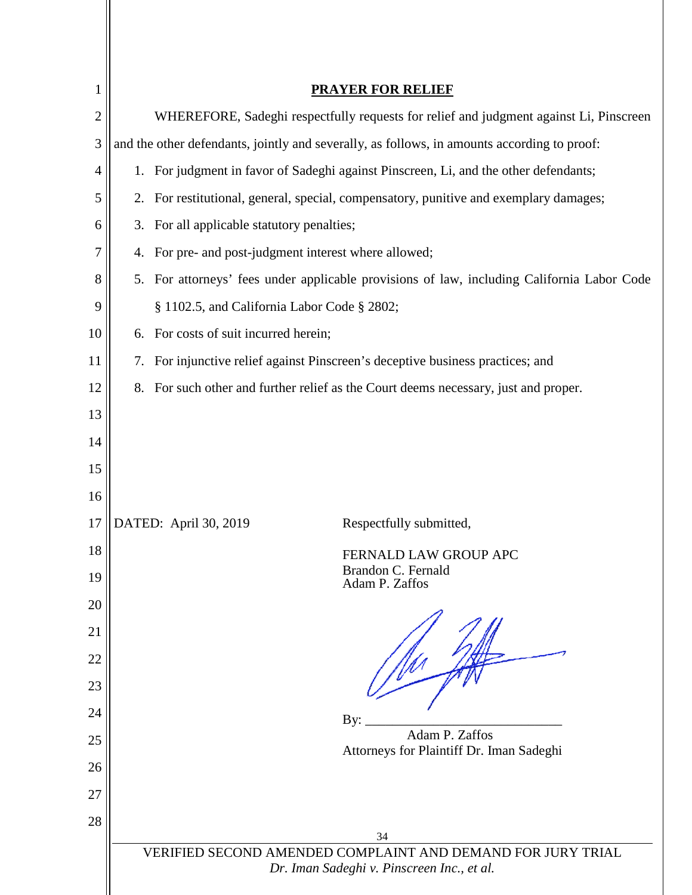<span id="page-34-0"></span>

| 1              | <b>PRAYER FOR RELIEF</b>                                                                                        |
|----------------|-----------------------------------------------------------------------------------------------------------------|
| $\overline{2}$ | WHEREFORE, Sadeghi respectfully requests for relief and judgment against Li, Pinscreen                          |
| 3              | and the other defendants, jointly and severally, as follows, in amounts according to proof:                     |
| 4              | 1. For judgment in favor of Sadeghi against Pinscreen, Li, and the other defendants;                            |
| 5              | 2. For restitutional, general, special, compensatory, punitive and exemplary damages;                           |
| 6              | 3. For all applicable statutory penalties;                                                                      |
| 7              | For pre- and post-judgment interest where allowed;<br>4.                                                        |
| 8              | 5. For attorneys' fees under applicable provisions of law, including California Labor Code                      |
| 9              | § 1102.5, and California Labor Code § 2802;                                                                     |
| 10             | 6. For costs of suit incurred herein;                                                                           |
| 11             | For injunctive relief against Pinscreen's deceptive business practices; and<br>7.                               |
| 12             | 8. For such other and further relief as the Court deems necessary, just and proper.                             |
| 13             |                                                                                                                 |
| 14             |                                                                                                                 |
| 15             |                                                                                                                 |
| 16             |                                                                                                                 |
| 17             | DATED: April 30, 2019<br>Respectfully submitted,                                                                |
| 18             | FERNALD LAW GROUP APC<br>Brandon C. Fernald                                                                     |
| 19             | Adam P. Zaffos                                                                                                  |
| 20<br>21       |                                                                                                                 |
| 22             |                                                                                                                 |
| 23             |                                                                                                                 |
| 24             |                                                                                                                 |
| 25             | By:<br>Adam P. Zaffos                                                                                           |
| 26             | Attorneys for Plaintiff Dr. Iman Sadeghi                                                                        |
| 27             |                                                                                                                 |
| 28             |                                                                                                                 |
|                | 34<br>VERIFIED SECOND AMENDED COMPLAINT AND DEMAND FOR JURY TRIAL<br>Dr. Iman Sadeghi v. Pinscreen Inc., et al. |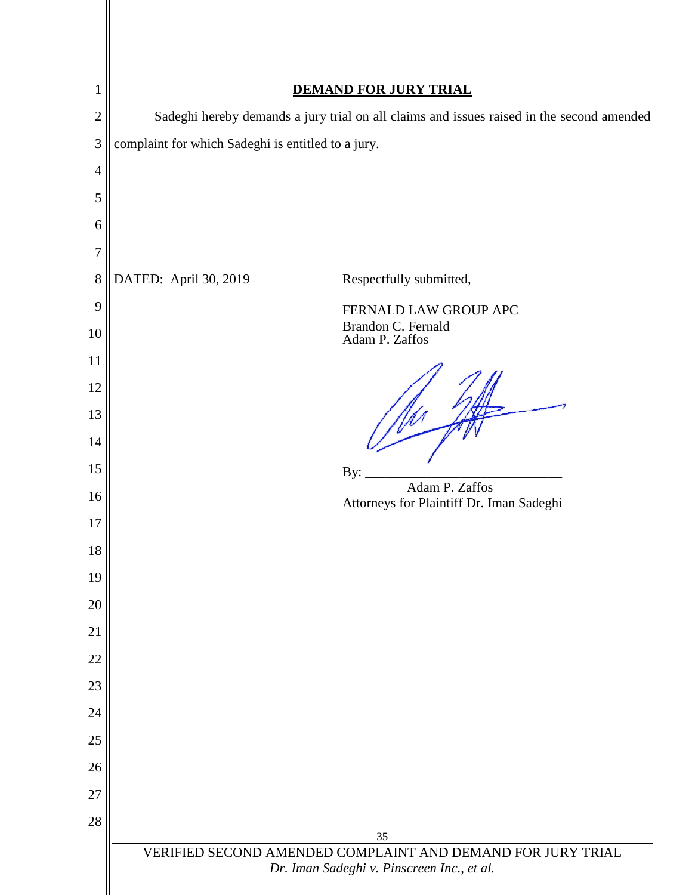<span id="page-35-0"></span>

| $\mathbf{1}$   | <b>DEMAND FOR JURY TRIAL</b>                                                              |
|----------------|-------------------------------------------------------------------------------------------|
| $\overline{2}$ | Sadeghi hereby demands a jury trial on all claims and issues raised in the second amended |
| 3              | complaint for which Sadeghi is entitled to a jury.                                        |
| $\overline{4}$ |                                                                                           |
| 5              |                                                                                           |
| 6              |                                                                                           |
| $\overline{7}$ |                                                                                           |
| 8              | DATED: April 30, 2019<br>Respectfully submitted,                                          |
| 9              | FERNALD LAW GROUP APC                                                                     |
| 10             | Brandon C. Fernald<br>Adam P. Zaffos                                                      |
| 11             |                                                                                           |
| 12             |                                                                                           |
| 13             |                                                                                           |
| 14             |                                                                                           |
| 15             | By:<br>Adam P. Zaffos                                                                     |
| 16             | Attorneys for Plaintiff Dr. Iman Sadeghi                                                  |
| 17             |                                                                                           |
| 18<br>19       |                                                                                           |
| 20             |                                                                                           |
| 21             |                                                                                           |
| 22             |                                                                                           |
| 23             |                                                                                           |
| 24             |                                                                                           |
| 25             |                                                                                           |
| 26             |                                                                                           |
| 27             |                                                                                           |
| 28             |                                                                                           |
|                | 35<br>VERIFIED SECOND AMENDED COMPLAINT AND DEMAND FOR JURY TRIAL                         |
|                | Dr. Iman Sadeghi v. Pinscreen Inc., et al.                                                |